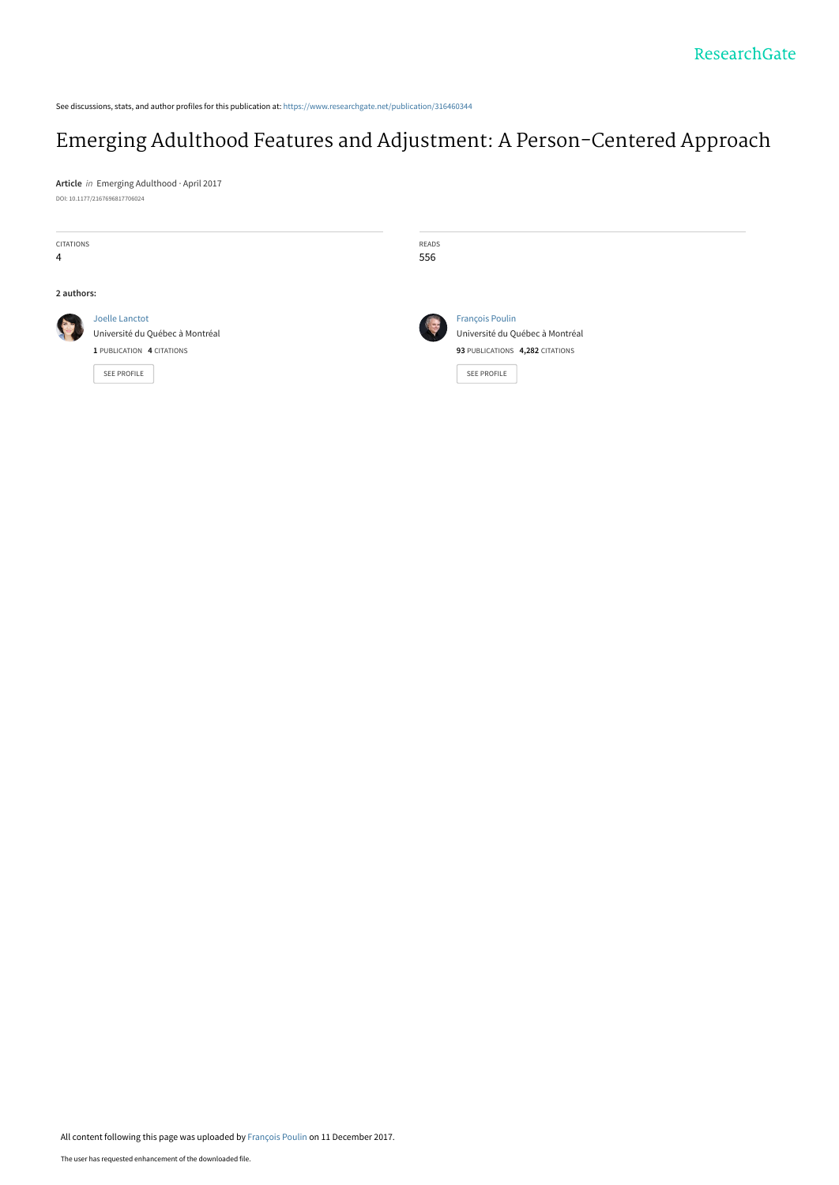See discussions, stats, and author profiles for this publication at: [https://www.researchgate.net/publication/316460344](https://www.researchgate.net/publication/316460344_Emerging_Adulthood_Features_and_Adjustment_A_Person-Centered_Approach?enrichId=rgreq-cd1b3f5902ae7aa8c66c58543a0402ee-XXX&enrichSource=Y292ZXJQYWdlOzMxNjQ2MDM0NDtBUzo1NzA1MTQyMDY3MTU5MDRAMTUxMzAzMjU5NDg3Mw%3D%3D&el=1_x_2&_esc=publicationCoverPdf)

# [Emerging Adulthood Features and Adjustment: A Person-Centered Approach](https://www.researchgate.net/publication/316460344_Emerging_Adulthood_Features_and_Adjustment_A_Person-Centered_Approach?enrichId=rgreq-cd1b3f5902ae7aa8c66c58543a0402ee-XXX&enrichSource=Y292ZXJQYWdlOzMxNjQ2MDM0NDtBUzo1NzA1MTQyMDY3MTU5MDRAMTUxMzAzMjU5NDg3Mw%3D%3D&el=1_x_3&_esc=publicationCoverPdf)

**Article** in Emerging Adulthood · April 2017 DOI: 10.1177/2167696817706024

| <b>CITATIONS</b><br>$\overline{4}$ |                                                                                                      | READS<br>556 |                                                                                                             |
|------------------------------------|------------------------------------------------------------------------------------------------------|--------------|-------------------------------------------------------------------------------------------------------------|
| 2 authors:                         |                                                                                                      |              |                                                                                                             |
|                                    | Joelle Lanctot<br>Université du Québec à Montréal<br>1 PUBLICATION 4 CITATIONS<br><b>SEE PROFILE</b> |              | <b>François Poulin</b><br>Université du Québec à Montréal<br>93 PUBLICATIONS 4,282 CITATIONS<br>SEE PROFILE |

All content following this page was uploaded by [François Poulin](https://www.researchgate.net/profile/Francois_Poulin?enrichId=rgreq-cd1b3f5902ae7aa8c66c58543a0402ee-XXX&enrichSource=Y292ZXJQYWdlOzMxNjQ2MDM0NDtBUzo1NzA1MTQyMDY3MTU5MDRAMTUxMzAzMjU5NDg3Mw%3D%3D&el=1_x_10&_esc=publicationCoverPdf) on 11 December 2017.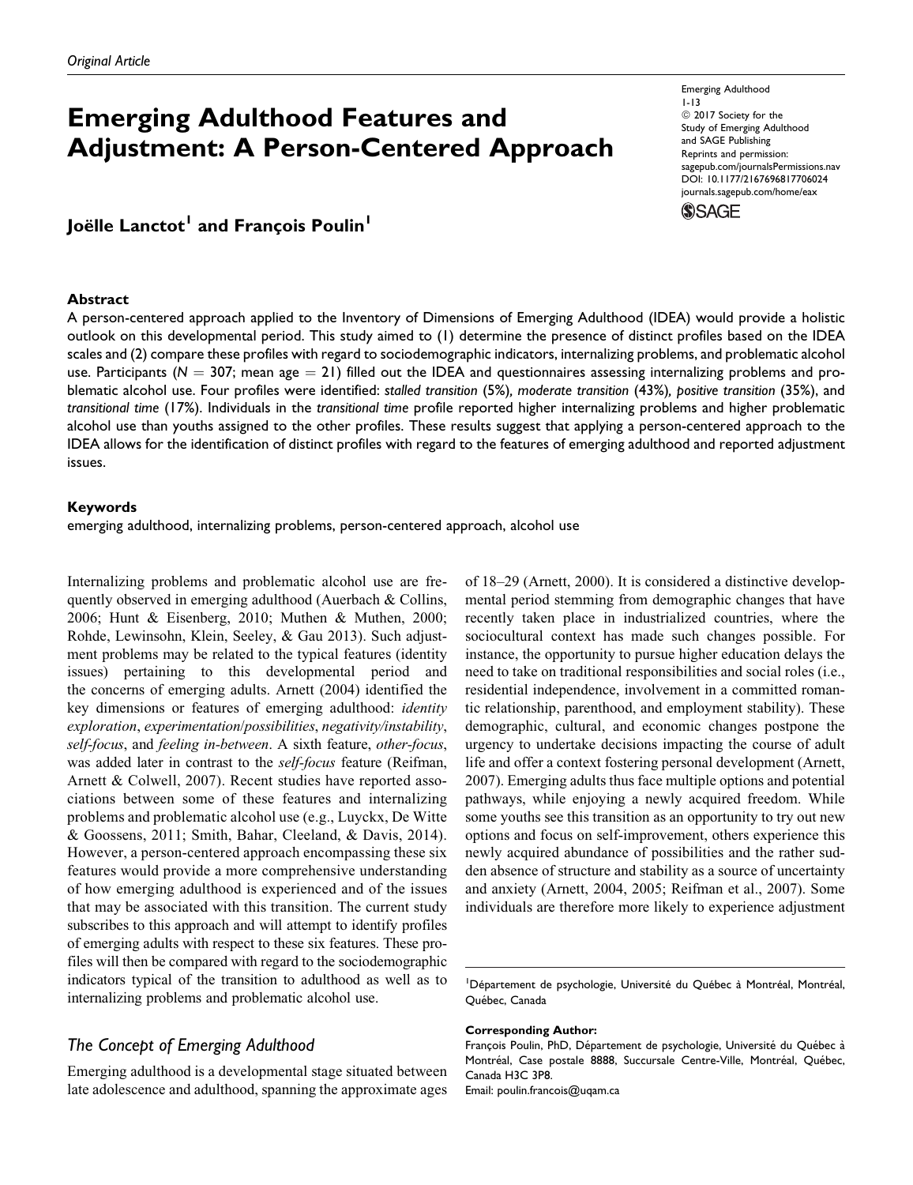# Emerging Adulthood Features and Adjustment: A Person-Centered Approach

Emerging Adulthood 1-13  $@$  2017 Society for the Study of Emerging Adulthood and SAGE Publishing Reprints and permission: [sagepub.com/journalsPermissions.nav](https://us.sagepub.com/en-us/journals-permissions) [DOI: 10.1177/2167696817706024](https://doi.org/10.1177/2167696817706024) [journals.sagepub.com/home/eax](http://journals.sagepub.com/home/eax)

### **SSAGE**

# Joëlle Lanctot<sup>1</sup> and François Poulin<sup>1</sup>

#### **Abstract**

A person-centered approach applied to the Inventory of Dimensions of Emerging Adulthood (IDEA) would provide a holistic outlook on this developmental period. This study aimed to (1) determine the presence of distinct profiles based on the IDEA scales and (2) compare these profiles with regard to sociodemographic indicators, internalizing problems, and problematic alcohol use. Participants ( $N = 307$ ; mean age  $= 21$ ) filled out the IDEA and questionnaires assessing internalizing problems and problematic alcohol use. Four profiles were identified: stalled transition (5%), moderate transition (43%), positive transition (35%), and transitional time (17%). Individuals in the transitional time profile reported higher internalizing problems and higher problematic alcohol use than youths assigned to the other profiles. These results suggest that applying a person-centered approach to the IDEA allows for the identification of distinct profiles with regard to the features of emerging adulthood and reported adjustment issues.

#### Keywords

emerging adulthood, internalizing problems, person-centered approach, alcohol use

Internalizing problems and problematic alcohol use are frequently observed in emerging adulthood (Auerbach & Collins, 2006; Hunt & Eisenberg, 2010; Muthen & Muthen, 2000; Rohde, Lewinsohn, Klein, Seeley, & Gau 2013). Such adjustment problems may be related to the typical features (identity issues) pertaining to this developmental period and the concerns of emerging adults. Arnett (2004) identified the key dimensions or features of emerging adulthood: identity exploration, experimentation/possibilities, negativity/instability, self-focus, and feeling in-between. A sixth feature, other-focus, was added later in contrast to the *self-focus* feature (Reifman, Arnett & Colwell, 2007). Recent studies have reported associations between some of these features and internalizing problems and problematic alcohol use (e.g., Luyckx, De Witte & Goossens, 2011; Smith, Bahar, Cleeland, & Davis, 2014). However, a person-centered approach encompassing these six features would provide a more comprehensive understanding of how emerging adulthood is experienced and of the issues that may be associated with this transition. The current study subscribes to this approach and will attempt to identify profiles of emerging adults with respect to these six features. These profiles will then be compared with regard to the sociodemographic indicators typical of the transition to adulthood as well as to internalizing problems and problematic alcohol use.

# The Concept of Emerging Adulthood

Emerging adulthood is a developmental stage situated between late adolescence and adulthood, spanning the approximate ages of 18–29 (Arnett, 2000). It is considered a distinctive developmental period stemming from demographic changes that have recently taken place in industrialized countries, where the sociocultural context has made such changes possible. For instance, the opportunity to pursue higher education delays the need to take on traditional responsibilities and social roles (i.e., residential independence, involvement in a committed romantic relationship, parenthood, and employment stability). These demographic, cultural, and economic changes postpone the urgency to undertake decisions impacting the course of adult life and offer a context fostering personal development (Arnett, 2007). Emerging adults thus face multiple options and potential pathways, while enjoying a newly acquired freedom. While some youths see this transition as an opportunity to try out new options and focus on self-improvement, others experience this newly acquired abundance of possibilities and the rather sudden absence of structure and stability as a source of uncertainty and anxiety (Arnett, 2004, 2005; Reifman et al., 2007). Some individuals are therefore more likely to experience adjustment

#### Corresponding Author:

Email: poulin.francois@uqam.ca

<sup>&</sup>lt;sup>1</sup>Département de psychologie, Université du Québec à Montréal, Montréal, Québec, Canada

François Poulin, PhD, Département de psychologie, Université du Québec à Montréal, Case postale 8888, Succursale Centre-Ville, Montréal, Québec, Canada H3C 3P8.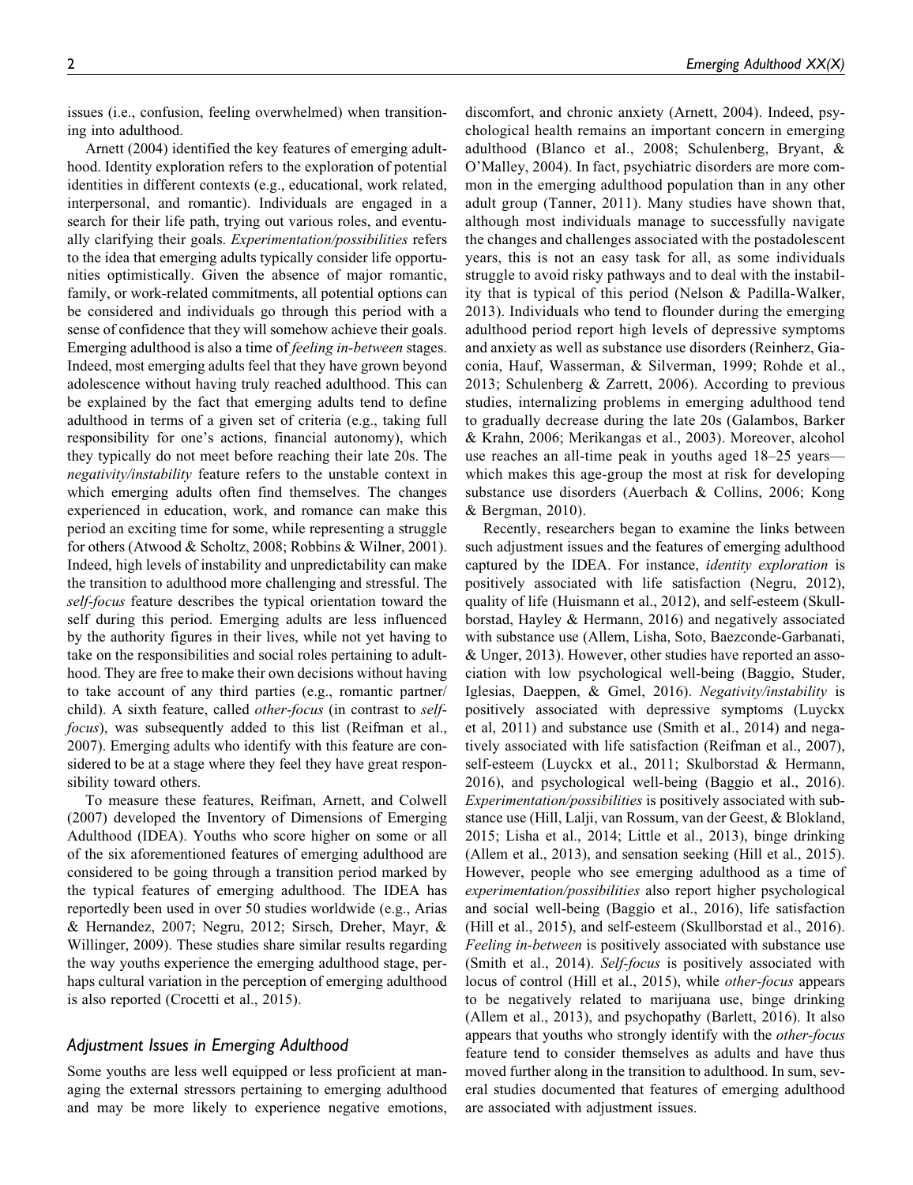issues (i.e., confusion, feeling overwhelmed) when transitioning into adulthood.

Arnett (2004) identified the key features of emerging adulthood. Identity exploration refers to the exploration of potential identities in different contexts (e.g., educational, work related, interpersonal, and romantic). Individuals are engaged in a search for their life path, trying out various roles, and eventually clarifying their goals. Experimentation/possibilities refers to the idea that emerging adults typically consider life opportunities optimistically. Given the absence of major romantic, family, or work-related commitments, all potential options can be considered and individuals go through this period with a sense of confidence that they will somehow achieve their goals. Emerging adulthood is also a time of feeling in-between stages. Indeed, most emerging adults feel that they have grown beyond adolescence without having truly reached adulthood. This can be explained by the fact that emerging adults tend to define adulthood in terms of a given set of criteria (e.g., taking full responsibility for one's actions, financial autonomy), which they typically do not meet before reaching their late 20s. The negativity/instability feature refers to the unstable context in which emerging adults often find themselves. The changes experienced in education, work, and romance can make this period an exciting time for some, while representing a struggle for others (Atwood & Scholtz, 2008; Robbins & Wilner, 2001). Indeed, high levels of instability and unpredictability can make the transition to adulthood more challenging and stressful. The self-focus feature describes the typical orientation toward the self during this period. Emerging adults are less influenced by the authority figures in their lives, while not yet having to take on the responsibilities and social roles pertaining to adulthood. They are free to make their own decisions without having to take account of any third parties (e.g., romantic partner/ child). A sixth feature, called *other-focus* (in contrast to *self*focus), was subsequently added to this list (Reifman et al., 2007). Emerging adults who identify with this feature are considered to be at a stage where they feel they have great responsibility toward others.

To measure these features, Reifman, Arnett, and Colwell (2007) developed the Inventory of Dimensions of Emerging Adulthood (IDEA). Youths who score higher on some or all of the six aforementioned features of emerging adulthood are considered to be going through a transition period marked by the typical features of emerging adulthood. The IDEA has reportedly been used in over 50 studies worldwide (e.g., Arias & Hernandez, 2007; Negru, 2012; Sirsch, Dreher, Mayr, & Willinger, 2009). These studies share similar results regarding the way youths experience the emerging adulthood stage, perhaps cultural variation in the perception of emerging adulthood is also reported (Crocetti et al., 2015).

### Adjustment Issues in Emerging Adulthood

Some youths are less well equipped or less proficient at managing the external stressors pertaining to emerging adulthood and may be more likely to experience negative emotions, discomfort, and chronic anxiety (Arnett, 2004). Indeed, psychological health remains an important concern in emerging adulthood (Blanco et al., 2008; Schulenberg, Bryant, & O'Malley, 2004). In fact, psychiatric disorders are more common in the emerging adulthood population than in any other adult group (Tanner, 2011). Many studies have shown that, although most individuals manage to successfully navigate the changes and challenges associated with the postadolescent years, this is not an easy task for all, as some individuals struggle to avoid risky pathways and to deal with the instability that is typical of this period (Nelson & Padilla-Walker, 2013). Individuals who tend to flounder during the emerging adulthood period report high levels of depressive symptoms and anxiety as well as substance use disorders (Reinherz, Giaconia, Hauf, Wasserman, & Silverman, 1999; Rohde et al., 2013; Schulenberg & Zarrett, 2006). According to previous studies, internalizing problems in emerging adulthood tend to gradually decrease during the late 20s (Galambos, Barker & Krahn, 2006; Merikangas et al., 2003). Moreover, alcohol use reaches an all-time peak in youths aged 18–25 years– which makes this age-group the most at risk for developing substance use disorders (Auerbach & Collins, 2006; Kong & Bergman, 2010).

Recently, researchers began to examine the links between such adjustment issues and the features of emerging adulthood captured by the IDEA. For instance, *identity exploration* is positively associated with life satisfaction (Negru, 2012), quality of life (Huismann et al., 2012), and self-esteem (Skullborstad, Hayley & Hermann, 2016) and negatively associated with substance use (Allem, Lisha, Soto, Baezconde-Garbanati, & Unger, 2013). However, other studies have reported an association with low psychological well-being (Baggio, Studer, Iglesias, Daeppen, & Gmel, 2016). Negativity/instability is positively associated with depressive symptoms (Luyckx et al, 2011) and substance use (Smith et al., 2014) and negatively associated with life satisfaction (Reifman et al., 2007), self-esteem (Luyckx et al., 2011; Skulborstad & Hermann, 2016), and psychological well-being (Baggio et al., 2016). Experimentation/possibilities is positively associated with substance use (Hill, Lalji, van Rossum, van der Geest, & Blokland, 2015; Lisha et al., 2014; Little et al., 2013), binge drinking (Allem et al., 2013), and sensation seeking (Hill et al., 2015). However, people who see emerging adulthood as a time of experimentation/possibilities also report higher psychological and social well-being (Baggio et al., 2016), life satisfaction (Hill et al., 2015), and self-esteem (Skullborstad et al., 2016). Feeling in-between is positively associated with substance use (Smith et al., 2014). Self-focus is positively associated with locus of control (Hill et al., 2015), while other-focus appears to be negatively related to marijuana use, binge drinking (Allem et al., 2013), and psychopathy (Barlett, 2016). It also appears that youths who strongly identify with the other-focus feature tend to consider themselves as adults and have thus moved further along in the transition to adulthood. In sum, several studies documented that features of emerging adulthood are associated with adjustment issues.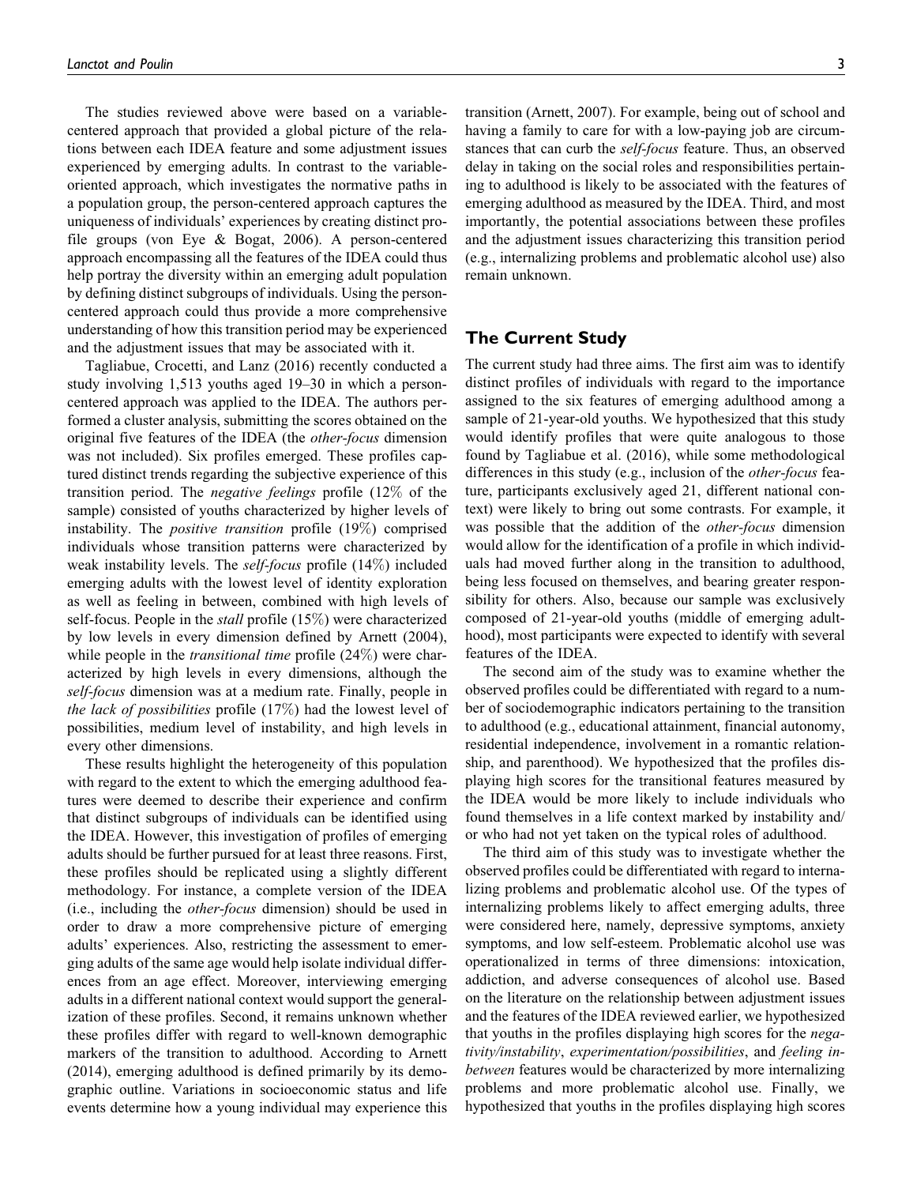The studies reviewed above were based on a variablecentered approach that provided a global picture of the relations between each IDEA feature and some adjustment issues experienced by emerging adults. In contrast to the variableoriented approach, which investigates the normative paths in a population group, the person-centered approach captures the uniqueness of individuals' experiences by creating distinct profile groups (von Eye & Bogat, 2006). A person-centered approach encompassing all the features of the IDEA could thus help portray the diversity within an emerging adult population by defining distinct subgroups of individuals. Using the personcentered approach could thus provide a more comprehensive understanding of how this transition period may be experienced and the adjustment issues that may be associated with it.

Tagliabue, Crocetti, and Lanz (2016) recently conducted a study involving 1,513 youths aged 19–30 in which a personcentered approach was applied to the IDEA. The authors performed a cluster analysis, submitting the scores obtained on the original five features of the IDEA (the other-focus dimension was not included). Six profiles emerged. These profiles captured distinct trends regarding the subjective experience of this transition period. The negative feelings profile (12% of the sample) consisted of youths characterized by higher levels of instability. The positive transition profile (19%) comprised individuals whose transition patterns were characterized by weak instability levels. The self-focus profile (14%) included emerging adults with the lowest level of identity exploration as well as feeling in between, combined with high levels of self-focus. People in the stall profile (15%) were characterized by low levels in every dimension defined by Arnett (2004), while people in the *transitional time* profile (24%) were characterized by high levels in every dimensions, although the self-focus dimension was at a medium rate. Finally, people in the lack of possibilities profile  $(17\%)$  had the lowest level of possibilities, medium level of instability, and high levels in every other dimensions.

These results highlight the heterogeneity of this population with regard to the extent to which the emerging adulthood features were deemed to describe their experience and confirm that distinct subgroups of individuals can be identified using the IDEA. However, this investigation of profiles of emerging adults should be further pursued for at least three reasons. First, these profiles should be replicated using a slightly different methodology. For instance, a complete version of the IDEA (i.e., including the other-focus dimension) should be used in order to draw a more comprehensive picture of emerging adults' experiences. Also, restricting the assessment to emerging adults of the same age would help isolate individual differences from an age effect. Moreover, interviewing emerging adults in a different national context would support the generalization of these profiles. Second, it remains unknown whether these profiles differ with regard to well-known demographic markers of the transition to adulthood. According to Arnett (2014), emerging adulthood is defined primarily by its demographic outline. Variations in socioeconomic status and life events determine how a young individual may experience this

transition (Arnett, 2007). For example, being out of school and having a family to care for with a low-paying job are circumstances that can curb the *self-focus* feature. Thus, an observed delay in taking on the social roles and responsibilities pertaining to adulthood is likely to be associated with the features of emerging adulthood as measured by the IDEA. Third, and most importantly, the potential associations between these profiles and the adjustment issues characterizing this transition period (e.g., internalizing problems and problematic alcohol use) also remain unknown.

# The Current Study

The current study had three aims. The first aim was to identify distinct profiles of individuals with regard to the importance assigned to the six features of emerging adulthood among a sample of 21-year-old youths. We hypothesized that this study would identify profiles that were quite analogous to those found by Tagliabue et al. (2016), while some methodological differences in this study (e.g., inclusion of the other-focus feature, participants exclusively aged 21, different national context) were likely to bring out some contrasts. For example, it was possible that the addition of the *other-focus* dimension would allow for the identification of a profile in which individuals had moved further along in the transition to adulthood, being less focused on themselves, and bearing greater responsibility for others. Also, because our sample was exclusively composed of 21-year-old youths (middle of emerging adulthood), most participants were expected to identify with several features of the IDEA.

The second aim of the study was to examine whether the observed profiles could be differentiated with regard to a number of sociodemographic indicators pertaining to the transition to adulthood (e.g., educational attainment, financial autonomy, residential independence, involvement in a romantic relationship, and parenthood). We hypothesized that the profiles displaying high scores for the transitional features measured by the IDEA would be more likely to include individuals who found themselves in a life context marked by instability and/ or who had not yet taken on the typical roles of adulthood.

The third aim of this study was to investigate whether the observed profiles could be differentiated with regard to internalizing problems and problematic alcohol use. Of the types of internalizing problems likely to affect emerging adults, three were considered here, namely, depressive symptoms, anxiety symptoms, and low self-esteem. Problematic alcohol use was operationalized in terms of three dimensions: intoxication, addiction, and adverse consequences of alcohol use. Based on the literature on the relationship between adjustment issues and the features of the IDEA reviewed earlier, we hypothesized that youths in the profiles displaying high scores for the negativity/instability, experimentation/possibilities, and feeling inbetween features would be characterized by more internalizing problems and more problematic alcohol use. Finally, we hypothesized that youths in the profiles displaying high scores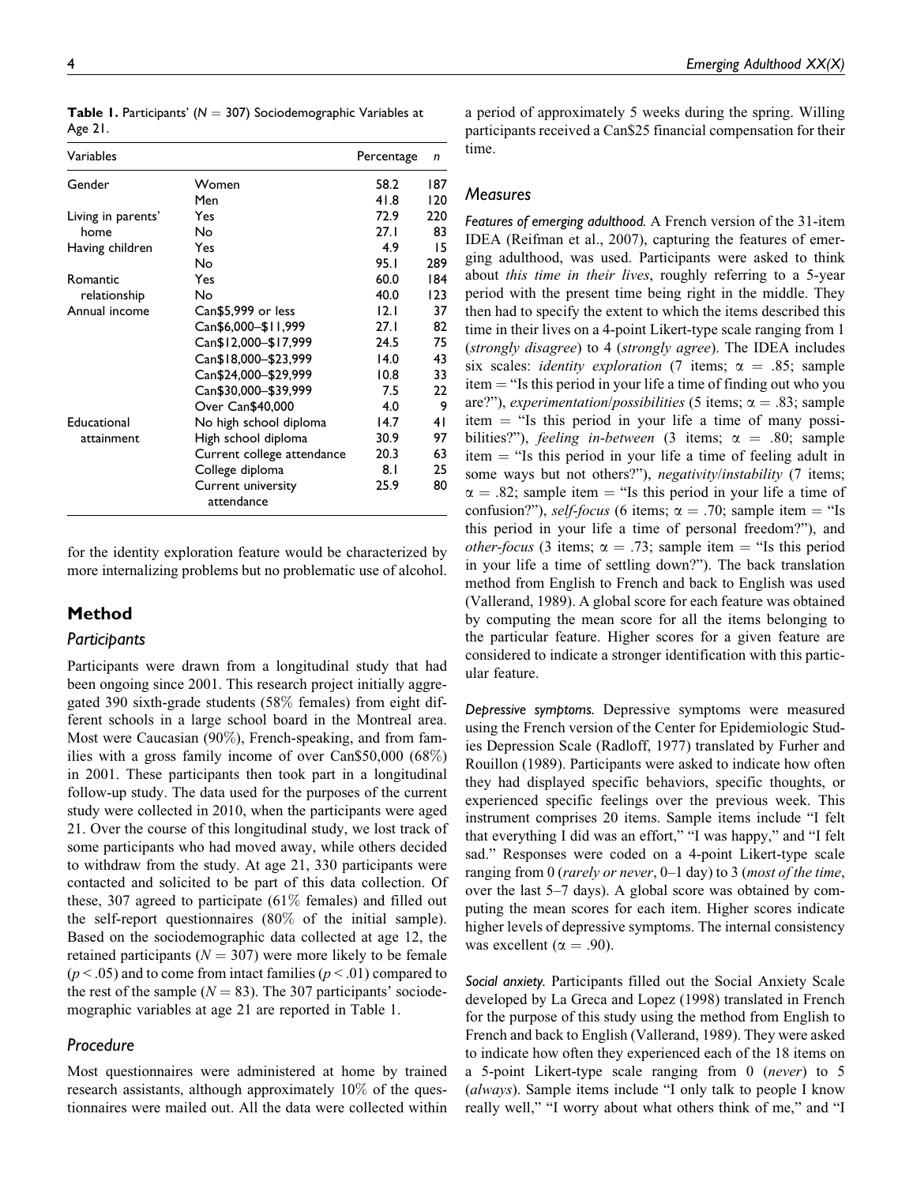| Variables          |                                  | Percentage | n   |
|--------------------|----------------------------------|------------|-----|
| Gender             | Women                            | 58.2       | 187 |
|                    | Men                              | 41.8       | 120 |
| Living in parents' | Yes                              | 72.9       | 220 |
| home               | No                               | 27.1       | 83  |
| Having children    | Yes                              | 4.9        | 15  |
|                    | No                               | 95.1       | 289 |
| Romantic           | Yes                              | 60.0       | 184 |
| relationship       | No                               | 40.0       | 123 |
| Annual income      | Can\$5,999 or less               | 12.1       | 37  |
|                    | Can\$6,000-\$11,999              | 27.1       | 82  |
|                    | Can\$12,000-\$17,999             | 24.5       | 75  |
|                    | Can\$18,000-\$23,999             | 14.0       | 43  |
|                    | Can\$24,000-\$29,999             | 10.8       | 33  |
|                    | Can\$30,000-\$39,999             | 7.5        | 22  |
|                    | Over Can\$40,000                 | 4.0        | 9   |
| Educational        | No high school diploma           | 14.7       | 41  |
| attainment         | High school diploma              | 30.9       | 97  |
|                    | Current college attendance       | 20.3       | 63  |
|                    | College diploma                  | 8.1        | 25  |
|                    | Current university<br>attendance | 25.9       | 80  |

**Table 1.** Participants' ( $N = 307$ ) Sociodemographic Variables at Age 21.

for the identity exploration feature would be characterized by more internalizing problems but no problematic use of alcohol.

# Method

#### **Participants**

Participants were drawn from a longitudinal study that had been ongoing since 2001. This research project initially aggregated 390 sixth-grade students (58% females) from eight different schools in a large school board in the Montreal area. Most were Caucasian (90%), French-speaking, and from families with a gross family income of over Can\$50,000 (68%) in 2001. These participants then took part in a longitudinal follow-up study. The data used for the purposes of the current study were collected in 2010, when the participants were aged 21. Over the course of this longitudinal study, we lost track of some participants who had moved away, while others decided to withdraw from the study. At age 21, 330 participants were contacted and solicited to be part of this data collection. Of these, 307 agreed to participate (61% females) and filled out the self-report questionnaires (80% of the initial sample). Based on the sociodemographic data collected at age 12, the retained participants ( $N = 307$ ) were more likely to be female  $(p < .05)$  and to come from intact families  $(p < .01)$  compared to the rest of the sample ( $N = 83$ ). The 307 participants' sociodemographic variables at age 21 are reported in Table 1.

## Procedure

Most questionnaires were administered at home by trained research assistants, although approximately 10% of the questionnaires were mailed out. All the data were collected within a period of approximately 5 weeks during the spring. Willing participants received a Can\$25 financial compensation for their time.

#### Measures

Features of emerging adulthood. A French version of the 31-item IDEA (Reifman et al., 2007), capturing the features of emerging adulthood, was used. Participants were asked to think about this time in their lives, roughly referring to a 5-year period with the present time being right in the middle. They then had to specify the extent to which the items described this time in their lives on a 4-point Likert-type scale ranging from 1 (strongly disagree) to 4 (strongly agree). The IDEA includes six scales: *identity exploration* (7 items;  $\alpha = .85$ ; sample  $item = "Is this period in your life a time of finding out who you$ are?"), experimentation/possibilities (5 items;  $\alpha = .83$ ; sample item  $=$  "Is this period in your life a time of many possibilities?"), *feeling in-between* (3 items;  $\alpha = .80$ ; sample item  $=$  "Is this period in your life a time of feeling adult in some ways but not others?"), negativity/instability (7 items;  $\alpha = .82$ ; sample item = "Is this period in your life a time of confusion?"), self-focus (6 items;  $\alpha = .70$ ; sample item = "Is this period in your life a time of personal freedom?"), and *other-focus* (3 items;  $\alpha = .73$ ; sample item = "Is this period in your life a time of settling down?"). The back translation method from English to French and back to English was used (Vallerand, 1989). A global score for each feature was obtained by computing the mean score for all the items belonging to the particular feature. Higher scores for a given feature are considered to indicate a stronger identification with this particular feature.

Depressive symptoms. Depressive symptoms were measured using the French version of the Center for Epidemiologic Studies Depression Scale (Radloff, 1977) translated by Furher and Rouillon (1989). Participants were asked to indicate how often they had displayed specific behaviors, specific thoughts, or experienced specific feelings over the previous week. This instrument comprises 20 items. Sample items include "I felt that everything I did was an effort," "I was happy," and "I felt sad." Responses were coded on a 4-point Likert-type scale ranging from 0 (rarely or never,  $0-1$  day) to 3 (most of the time, over the last 5–7 days). A global score was obtained by computing the mean scores for each item. Higher scores indicate higher levels of depressive symptoms. The internal consistency was excellent ( $\alpha = .90$ ).

Social anxiety. Participants filled out the Social Anxiety Scale developed by La Greca and Lopez (1998) translated in French for the purpose of this study using the method from English to French and back to English (Vallerand, 1989). They were asked to indicate how often they experienced each of the 18 items on a 5-point Likert-type scale ranging from 0 (never) to 5 (always). Sample items include "I only talk to people I know really well," "I worry about what others think of me," and "I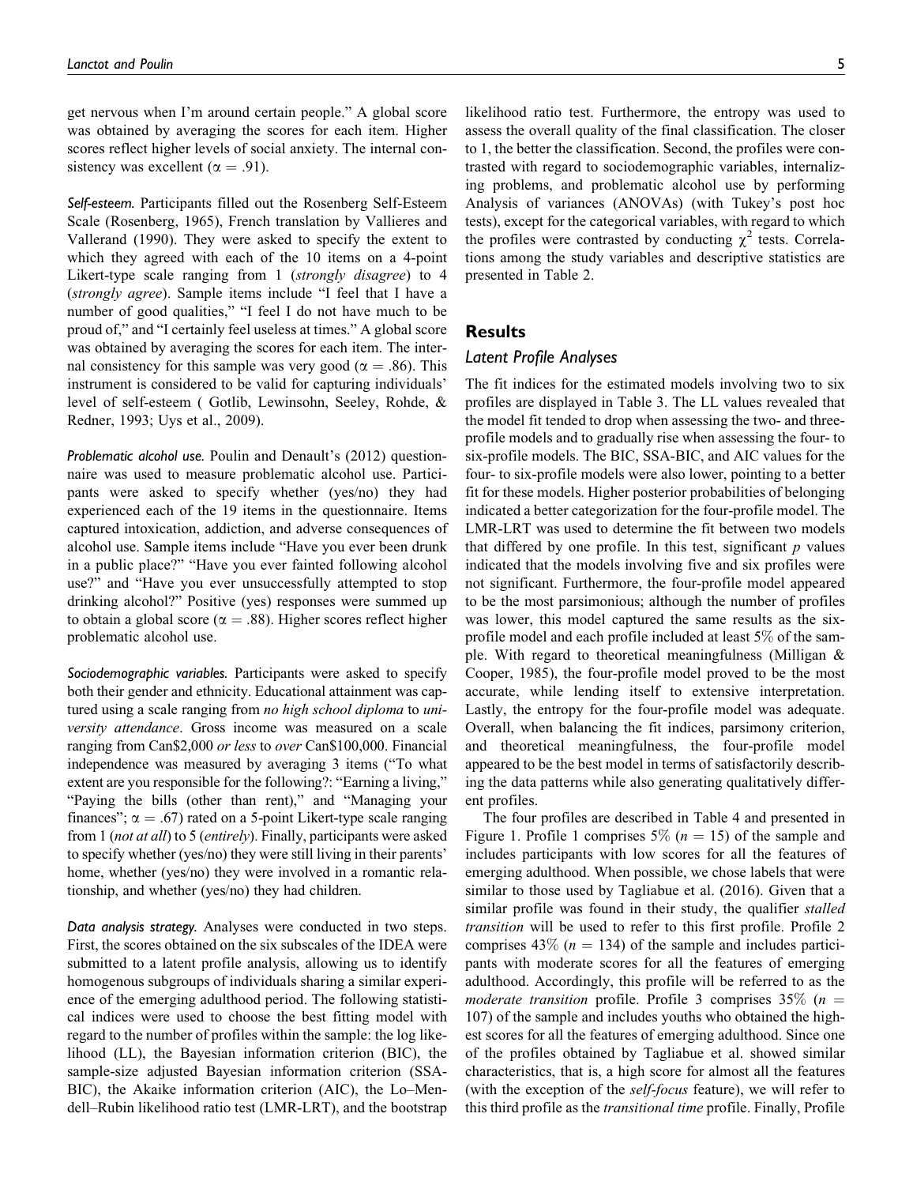get nervous when I'm around certain people." A global score was obtained by averaging the scores for each item. Higher scores reflect higher levels of social anxiety. The internal consistency was excellent ( $\alpha = .91$ ).

Self-esteem. Participants filled out the Rosenberg Self-Esteem Scale (Rosenberg, 1965), French translation by Vallieres and Vallerand (1990). They were asked to specify the extent to which they agreed with each of the 10 items on a 4-point Likert-type scale ranging from 1 *(strongly disagree)* to 4 (strongly agree). Sample items include "I feel that I have a number of good qualities," "I feel I do not have much to be proud of," and "I certainly feel useless at times." A global score was obtained by averaging the scores for each item. The internal consistency for this sample was very good ( $\alpha = .86$ ). This instrument is considered to be valid for capturing individuals' level of self-esteem ( Gotlib, Lewinsohn, Seeley, Rohde, & Redner, 1993; Uys et al., 2009).

Problematic alcohol use. Poulin and Denault's (2012) questionnaire was used to measure problematic alcohol use. Participants were asked to specify whether (yes/no) they had experienced each of the 19 items in the questionnaire. Items captured intoxication, addiction, and adverse consequences of alcohol use. Sample items include "Have you ever been drunk in a public place?" "Have you ever fainted following alcohol use?" and "Have you ever unsuccessfully attempted to stop drinking alcohol?" Positive (yes) responses were summed up to obtain a global score ( $\alpha = .88$ ). Higher scores reflect higher problematic alcohol use.

Sociodemographic variables. Participants were asked to specify both their gender and ethnicity. Educational attainment was captured using a scale ranging from *no high school diploma* to *uni*versity attendance. Gross income was measured on a scale ranging from Can\$2,000 or less to over Can\$100,000. Financial independence was measured by averaging 3 items ("To what extent are you responsible for the following?: "Earning a living," "Paying the bills (other than rent)," and "Managing your finances";  $\alpha = .67$ ) rated on a 5-point Likert-type scale ranging from 1 (not at all) to 5 (entirely). Finally, participants were asked to specify whether (yes/no) they were still living in their parents' home, whether (yes/no) they were involved in a romantic relationship, and whether (yes/no) they had children.

Data analysis strategy. Analyses were conducted in two steps. First, the scores obtained on the six subscales of the IDEA were submitted to a latent profile analysis, allowing us to identify homogenous subgroups of individuals sharing a similar experience of the emerging adulthood period. The following statistical indices were used to choose the best fitting model with regard to the number of profiles within the sample: the log likelihood (LL), the Bayesian information criterion (BIC), the sample-size adjusted Bayesian information criterion (SSA-BIC), the Akaike information criterion (AIC), the Lo–Mendell–Rubin likelihood ratio test (LMR-LRT), and the bootstrap

likelihood ratio test. Furthermore, the entropy was used to assess the overall quality of the final classification. The closer to 1, the better the classification. Second, the profiles were contrasted with regard to sociodemographic variables, internalizing problems, and problematic alcohol use by performing Analysis of variances (ANOVAs) (with Tukey's post hoc tests), except for the categorical variables, with regard to which the profiles were contrasted by conducting  $\chi^2$  tests. Correlations among the study variables and descriptive statistics are presented in Table 2.

### Results

## Latent Profile Analyses

The fit indices for the estimated models involving two to six profiles are displayed in Table 3. The LL values revealed that the model fit tended to drop when assessing the two- and threeprofile models and to gradually rise when assessing the four- to six-profile models. The BIC, SSA-BIC, and AIC values for the four- to six-profile models were also lower, pointing to a better fit for these models. Higher posterior probabilities of belonging indicated a better categorization for the four-profile model. The LMR-LRT was used to determine the fit between two models that differed by one profile. In this test, significant  $p$  values indicated that the models involving five and six profiles were not significant. Furthermore, the four-profile model appeared to be the most parsimonious; although the number of profiles was lower, this model captured the same results as the sixprofile model and each profile included at least 5% of the sample. With regard to theoretical meaningfulness (Milligan & Cooper, 1985), the four-profile model proved to be the most accurate, while lending itself to extensive interpretation. Lastly, the entropy for the four-profile model was adequate. Overall, when balancing the fit indices, parsimony criterion, and theoretical meaningfulness, the four-profile model appeared to be the best model in terms of satisfactorily describing the data patterns while also generating qualitatively different profiles.

The four profiles are described in Table 4 and presented in Figure 1. Profile 1 comprises 5% ( $n = 15$ ) of the sample and includes participants with low scores for all the features of emerging adulthood. When possible, we chose labels that were similar to those used by Tagliabue et al. (2016). Given that a similar profile was found in their study, the qualifier *stalled* transition will be used to refer to this first profile. Profile 2 comprises 43% ( $n = 134$ ) of the sample and includes participants with moderate scores for all the features of emerging adulthood. Accordingly, this profile will be referred to as the moderate transition profile. Profile 3 comprises 35% ( $n =$ 107) of the sample and includes youths who obtained the highest scores for all the features of emerging adulthood. Since one of the profiles obtained by Tagliabue et al. showed similar characteristics, that is, a high score for almost all the features (with the exception of the *self-focus* feature), we will refer to this third profile as the *transitional time* profile. Finally, Profile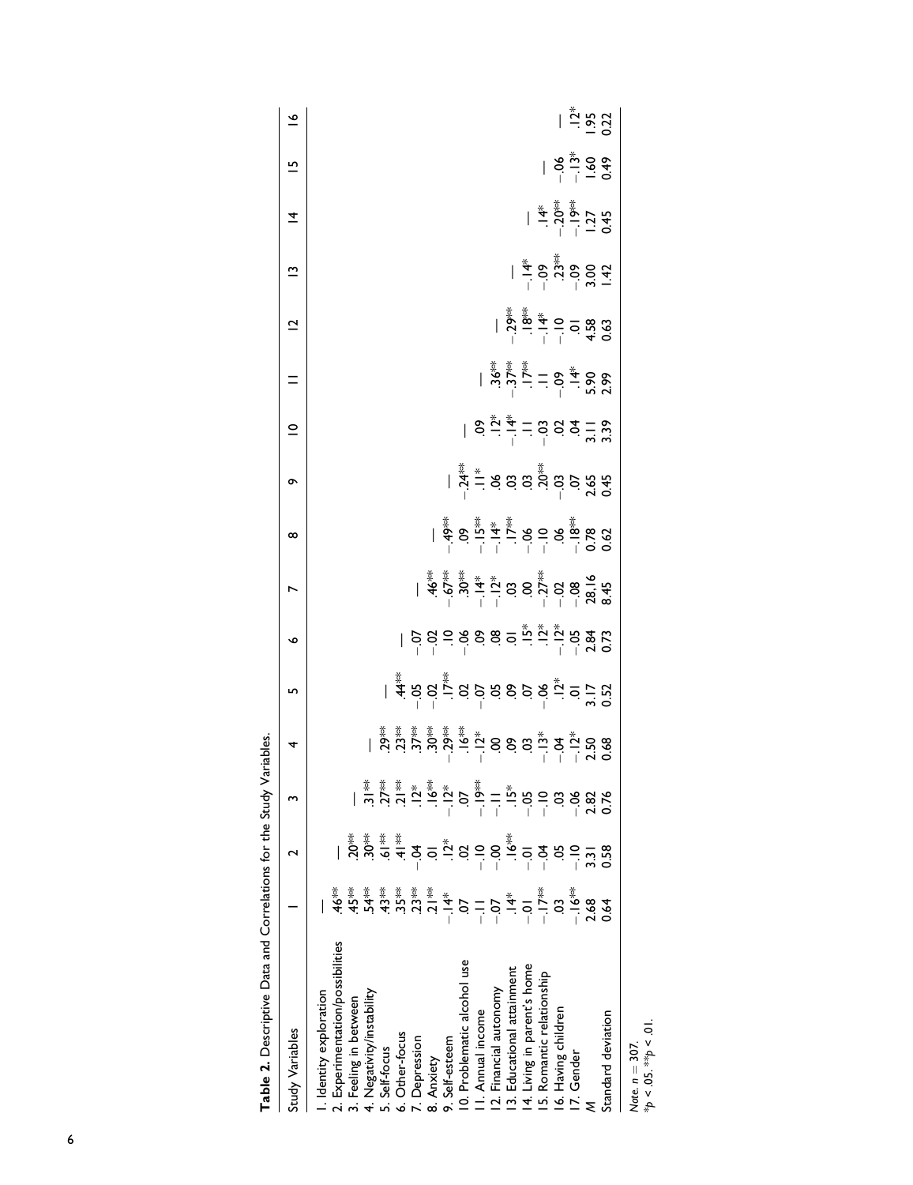| Table 2. Descriptive Data and Correlations for the Study \ |                                                                                                                                                                                                                                                                                                                                                                                                               |                                                                                                                                                                                                                                                                                                                                                                                      |                                                                                                                                                                                                                                                               | ariables. |                                                                                                                                                                                                                                                                                                                                                                                          |                           |                                                   |   |                                                                                                                                                                                                                                                                                                                                                                                                                                                                                                                            |                                                                                                                                                                                                                                                                                                                     |                                                                                                          |                                                                                                                                                                                                                                                                                                                                                                                                                                                                                                                                                             |             |                                                                                                                                                                                                                        |                            |                                                                  |
|------------------------------------------------------------|---------------------------------------------------------------------------------------------------------------------------------------------------------------------------------------------------------------------------------------------------------------------------------------------------------------------------------------------------------------------------------------------------------------|--------------------------------------------------------------------------------------------------------------------------------------------------------------------------------------------------------------------------------------------------------------------------------------------------------------------------------------------------------------------------------------|---------------------------------------------------------------------------------------------------------------------------------------------------------------------------------------------------------------------------------------------------------------|-----------|------------------------------------------------------------------------------------------------------------------------------------------------------------------------------------------------------------------------------------------------------------------------------------------------------------------------------------------------------------------------------------------|---------------------------|---------------------------------------------------|---|----------------------------------------------------------------------------------------------------------------------------------------------------------------------------------------------------------------------------------------------------------------------------------------------------------------------------------------------------------------------------------------------------------------------------------------------------------------------------------------------------------------------------|---------------------------------------------------------------------------------------------------------------------------------------------------------------------------------------------------------------------------------------------------------------------------------------------------------------------|----------------------------------------------------------------------------------------------------------|-------------------------------------------------------------------------------------------------------------------------------------------------------------------------------------------------------------------------------------------------------------------------------------------------------------------------------------------------------------------------------------------------------------------------------------------------------------------------------------------------------------------------------------------------------------|-------------|------------------------------------------------------------------------------------------------------------------------------------------------------------------------------------------------------------------------|----------------------------|------------------------------------------------------------------|
| Study Variables                                            |                                                                                                                                                                                                                                                                                                                                                                                                               |                                                                                                                                                                                                                                                                                                                                                                                      | w                                                                                                                                                                                                                                                             | 4         | ь                                                                                                                                                                                                                                                                                                                                                                                        | ∾                         |                                                   | ∞ | ò                                                                                                                                                                                                                                                                                                                                                                                                                                                                                                                          | $\subseteq$                                                                                                                                                                                                                                                                                                         | $=$                                                                                                      | $\overline{\mathbf{C}}$                                                                                                                                                                                                                                                                                                                                                                                                                                                                                                                                     | $\tilde{ }$ | $\overline{4}$                                                                                                                                                                                                         | 으                          | $\frac{6}{1}$                                                    |
| I. Identity exploration                                    |                                                                                                                                                                                                                                                                                                                                                                                                               |                                                                                                                                                                                                                                                                                                                                                                                      |                                                                                                                                                                                                                                                               |           |                                                                                                                                                                                                                                                                                                                                                                                          |                           |                                                   |   |                                                                                                                                                                                                                                                                                                                                                                                                                                                                                                                            |                                                                                                                                                                                                                                                                                                                     |                                                                                                          |                                                                                                                                                                                                                                                                                                                                                                                                                                                                                                                                                             |             |                                                                                                                                                                                                                        |                            |                                                                  |
| 2. Experimentation/possibilities                           | ≹<br>Ҿ                                                                                                                                                                                                                                                                                                                                                                                                        |                                                                                                                                                                                                                                                                                                                                                                                      |                                                                                                                                                                                                                                                               |           |                                                                                                                                                                                                                                                                                                                                                                                          |                           |                                                   |   |                                                                                                                                                                                                                                                                                                                                                                                                                                                                                                                            |                                                                                                                                                                                                                                                                                                                     |                                                                                                          |                                                                                                                                                                                                                                                                                                                                                                                                                                                                                                                                                             |             |                                                                                                                                                                                                                        |                            |                                                                  |
| 3. Feeling in between                                      |                                                                                                                                                                                                                                                                                                                                                                                                               | $20*$                                                                                                                                                                                                                                                                                                                                                                                |                                                                                                                                                                                                                                                               |           |                                                                                                                                                                                                                                                                                                                                                                                          |                           |                                                   |   |                                                                                                                                                                                                                                                                                                                                                                                                                                                                                                                            |                                                                                                                                                                                                                                                                                                                     |                                                                                                          |                                                                                                                                                                                                                                                                                                                                                                                                                                                                                                                                                             |             |                                                                                                                                                                                                                        |                            |                                                                  |
| 4. Negativity/instability                                  | $\begin{array}{ccccccccc} \frac{1}{4} & \frac{1}{4} & \frac{1}{4} & \frac{1}{4} & \frac{1}{4} & \frac{1}{4} & \frac{1}{4} & \frac{1}{4} & \frac{1}{4} & \frac{1}{4} & \frac{1}{4} & \frac{1}{4} & \frac{1}{4} & \frac{1}{4} & \frac{1}{4} & \frac{1}{4} & \frac{1}{4} & \frac{1}{4} & \frac{1}{4} & \frac{1}{4} & \frac{1}{4} & \frac{1}{4} & \frac{1}{4} & \frac{1}{4} & \frac{1}{4} & \frac{1}{4} & \frac{$ |                                                                                                                                                                                                                                                                                                                                                                                      | $\frac{\cancel{x}}{2}$                                                                                                                                                                                                                                        |           |                                                                                                                                                                                                                                                                                                                                                                                          |                           |                                                   |   |                                                                                                                                                                                                                                                                                                                                                                                                                                                                                                                            |                                                                                                                                                                                                                                                                                                                     |                                                                                                          |                                                                                                                                                                                                                                                                                                                                                                                                                                                                                                                                                             |             |                                                                                                                                                                                                                        |                            |                                                                  |
| 5. Self-focus                                              |                                                                                                                                                                                                                                                                                                                                                                                                               |                                                                                                                                                                                                                                                                                                                                                                                      | $27**$                                                                                                                                                                                                                                                        |           |                                                                                                                                                                                                                                                                                                                                                                                          |                           |                                                   |   |                                                                                                                                                                                                                                                                                                                                                                                                                                                                                                                            |                                                                                                                                                                                                                                                                                                                     |                                                                                                          |                                                                                                                                                                                                                                                                                                                                                                                                                                                                                                                                                             |             |                                                                                                                                                                                                                        |                            |                                                                  |
| 6. Other-focus                                             |                                                                                                                                                                                                                                                                                                                                                                                                               | $\sum_{i=1}^{n} \frac{1}{2} \frac{1}{2} \frac{1}{2}$                                                                                                                                                                                                                                                                                                                                 | $\frac{1}{2}$                                                                                                                                                                                                                                                 |           |                                                                                                                                                                                                                                                                                                                                                                                          |                           |                                                   |   |                                                                                                                                                                                                                                                                                                                                                                                                                                                                                                                            |                                                                                                                                                                                                                                                                                                                     |                                                                                                          |                                                                                                                                                                                                                                                                                                                                                                                                                                                                                                                                                             |             |                                                                                                                                                                                                                        |                            |                                                                  |
| 7. Depression                                              |                                                                                                                                                                                                                                                                                                                                                                                                               |                                                                                                                                                                                                                                                                                                                                                                                      |                                                                                                                                                                                                                                                               |           |                                                                                                                                                                                                                                                                                                                                                                                          |                           |                                                   |   |                                                                                                                                                                                                                                                                                                                                                                                                                                                                                                                            |                                                                                                                                                                                                                                                                                                                     |                                                                                                          |                                                                                                                                                                                                                                                                                                                                                                                                                                                                                                                                                             |             |                                                                                                                                                                                                                        |                            |                                                                  |
| 8. Anxiety                                                 |                                                                                                                                                                                                                                                                                                                                                                                                               |                                                                                                                                                                                                                                                                                                                                                                                      | $\sum_{i=1}^{n}$                                                                                                                                                                                                                                              |           |                                                                                                                                                                                                                                                                                                                                                                                          |                           |                                                   |   |                                                                                                                                                                                                                                                                                                                                                                                                                                                                                                                            |                                                                                                                                                                                                                                                                                                                     |                                                                                                          |                                                                                                                                                                                                                                                                                                                                                                                                                                                                                                                                                             |             |                                                                                                                                                                                                                        |                            |                                                                  |
| 9. Self-esteem                                             |                                                                                                                                                                                                                                                                                                                                                                                                               |                                                                                                                                                                                                                                                                                                                                                                                      |                                                                                                                                                                                                                                                               |           |                                                                                                                                                                                                                                                                                                                                                                                          |                           |                                                   |   |                                                                                                                                                                                                                                                                                                                                                                                                                                                                                                                            |                                                                                                                                                                                                                                                                                                                     |                                                                                                          |                                                                                                                                                                                                                                                                                                                                                                                                                                                                                                                                                             |             |                                                                                                                                                                                                                        |                            |                                                                  |
| 10. Problematic alcohol use                                |                                                                                                                                                                                                                                                                                                                                                                                                               |                                                                                                                                                                                                                                                                                                                                                                                      |                                                                                                                                                                                                                                                               |           |                                                                                                                                                                                                                                                                                                                                                                                          |                           |                                                   |   |                                                                                                                                                                                                                                                                                                                                                                                                                                                                                                                            |                                                                                                                                                                                                                                                                                                                     |                                                                                                          |                                                                                                                                                                                                                                                                                                                                                                                                                                                                                                                                                             |             |                                                                                                                                                                                                                        |                            |                                                                  |
| II. Annual income                                          |                                                                                                                                                                                                                                                                                                                                                                                                               | $\overline{a}$ $\overline{a}$ $\overline{b}$ $\overline{c}$ $\overline{c}$ $\overline{c}$ $\overline{c}$ $\overline{c}$ $\overline{c}$ $\overline{c}$ $\overline{c}$ $\overline{c}$ $\overline{c}$ $\overline{c}$ $\overline{c}$ $\overline{c}$ $\overline{c}$ $\overline{c}$ $\overline{c}$ $\overline{c}$ $\overline{c}$ $\overline{c}$ $\overline{c}$ $\overline{c}$ $\overline{$ | $\frac{2}{1}$ , $\frac{1}{5}$ , $\frac{1}{5}$ , $\frac{1}{5}$ , $\frac{1}{5}$ , $\frac{1}{5}$ , $\frac{1}{5}$ , $\frac{1}{5}$ , $\frac{1}{5}$ , $\frac{1}{5}$ , $\frac{1}{5}$ , $\frac{1}{5}$ , $\frac{1}{5}$ , $\frac{1}{5}$ , $\frac{1}{5}$ , $\frac{1}{5}$ |           | $1 \n\overset{?}{4} \n\overset{?}{5} \n\overset{?}{0} \n\overset{?}{0} \n\overset{?}{0} \n\overset{?}{0} \n\overset{?}{0} \n\overset{?}{0} \n\overset{?}{0} \n\overset{?}{0} \n\overset{?}{0} \n\overset{?}{0} \n\overset{?}{0} \n\overset{?}{0} \n\overset{?}{0} \n\overset{?}{0} \n\overset{?}{0} \n\overset{?}{0} \n\overset{?}{0} \n\overset{?}{0} \n\overset{?}{0} \n\overset{?}{0$ | ٳ؋؏ۜڲ؋ۅۼ؋ٞ<br>ٳ؋؏ڲ؋ۅۼ؋ٞ؋؋ | ٵ <del>ۼۄۄۼ؋ۄ</del><br>ٵۼۄٷۼڐٵۼ؋ۄۼ؋ۄٷ<br>ٵ؋ۄۄۼ؋ۄۄ |   | $\mid\, \overset{\overset{*}{*}}{\underset{-}{\overset{*}{\sim}}}\, \overset{*}{\underset{-}{\rightleftharpoons}}\, \, S \overset{\overset{}{\sim}}{\overset{\sim}{\circ}}\, S \overset{\overset{}{\sim}}{\underset{-}{\circ}}\, \, \overset{\overset{}{\sim}}{\overset{\sim}{\circ}}\, S \overset{\overset{}{\sim}}{\underset{-}{\circ}}\, S \overset{\overset{}{\sim}}{\underset{-}{\circ}}\, S \overset{\overset{}{\sim}}{\underset{-}{\circ}}\, S \overset{\overset{}{\sim}}{\underset{-}{\circ}}\, S \overset{\overs$ | $\frac{1}{6}$ $\frac{1}{6}$ $\frac{1}{6}$ $\frac{1}{6}$ $\frac{1}{6}$ $\frac{1}{6}$ $\frac{1}{6}$ $\frac{1}{6}$ $\frac{1}{6}$ $\frac{1}{6}$ $\frac{1}{6}$ $\frac{1}{6}$ $\frac{1}{6}$ $\frac{1}{6}$ $\frac{1}{6}$ $\frac{1}{6}$ $\frac{1}{6}$ $\frac{1}{6}$ $\frac{1}{6}$ $\frac{1}{6}$ $\frac{1}{6}$ $\frac{1}{6}$ |                                                                                                          |                                                                                                                                                                                                                                                                                                                                                                                                                                                                                                                                                             |             |                                                                                                                                                                                                                        |                            |                                                                  |
| 12. Financial autonomy                                     |                                                                                                                                                                                                                                                                                                                                                                                                               |                                                                                                                                                                                                                                                                                                                                                                                      |                                                                                                                                                                                                                                                               |           |                                                                                                                                                                                                                                                                                                                                                                                          |                           |                                                   |   |                                                                                                                                                                                                                                                                                                                                                                                                                                                                                                                            |                                                                                                                                                                                                                                                                                                                     | $\begin{array}{r} 2.35 & -2.35 & -2.35 \\ -2.35 & -2.35 & -2.35 \\ -2.35 & -2.35 & -2.35 \\ \end{array}$ |                                                                                                                                                                                                                                                                                                                                                                                                                                                                                                                                                             |             |                                                                                                                                                                                                                        |                            |                                                                  |
| 13. Educational attainment                                 |                                                                                                                                                                                                                                                                                                                                                                                                               |                                                                                                                                                                                                                                                                                                                                                                                      |                                                                                                                                                                                                                                                               |           |                                                                                                                                                                                                                                                                                                                                                                                          |                           |                                                   |   |                                                                                                                                                                                                                                                                                                                                                                                                                                                                                                                            |                                                                                                                                                                                                                                                                                                                     |                                                                                                          |                                                                                                                                                                                                                                                                                                                                                                                                                                                                                                                                                             |             |                                                                                                                                                                                                                        |                            |                                                                  |
| 14. Living in parent's home                                |                                                                                                                                                                                                                                                                                                                                                                                                               |                                                                                                                                                                                                                                                                                                                                                                                      |                                                                                                                                                                                                                                                               |           |                                                                                                                                                                                                                                                                                                                                                                                          |                           |                                                   |   |                                                                                                                                                                                                                                                                                                                                                                                                                                                                                                                            |                                                                                                                                                                                                                                                                                                                     |                                                                                                          |                                                                                                                                                                                                                                                                                                                                                                                                                                                                                                                                                             |             |                                                                                                                                                                                                                        |                            |                                                                  |
| 15. Romantic relationship                                  |                                                                                                                                                                                                                                                                                                                                                                                                               |                                                                                                                                                                                                                                                                                                                                                                                      |                                                                                                                                                                                                                                                               |           |                                                                                                                                                                                                                                                                                                                                                                                          |                           |                                                   |   |                                                                                                                                                                                                                                                                                                                                                                                                                                                                                                                            |                                                                                                                                                                                                                                                                                                                     |                                                                                                          |                                                                                                                                                                                                                                                                                                                                                                                                                                                                                                                                                             |             |                                                                                                                                                                                                                        |                            |                                                                  |
| 16. Having children                                        |                                                                                                                                                                                                                                                                                                                                                                                                               |                                                                                                                                                                                                                                                                                                                                                                                      |                                                                                                                                                                                                                                                               |           |                                                                                                                                                                                                                                                                                                                                                                                          |                           |                                                   |   |                                                                                                                                                                                                                                                                                                                                                                                                                                                                                                                            |                                                                                                                                                                                                                                                                                                                     |                                                                                                          | $\begin{array}{r} 1 \overline{\smash{\overset{\text{\tiny{*}}}{\mathcal{S}}}} \overset{\text{\tiny{*}}}{\mathcal{S}} \overset{\text{\tiny{*}}}{\mathcal{S}} \overset{\text{\tiny{*}}}{\mathcal{S}} \overset{\text{\tiny{*}}}{\mathcal{S}} \overset{\text{\tiny{*}}}{\mathcal{S}} \overset{\text{\tiny{*}}}{\mathcal{S}} \overset{\text{\tiny{*}}}{\mathcal{S}} \overset{\text{\tiny{*}}}{\mathcal{S}} \overset{\text{\tiny{*}}}{\mathcal{S}} \overset{\text{\tiny{*}}}{\mathcal{S}} \overset{\text{\tiny{*}}}{\mathcal{S}} \overset{\text{\tiny{*}}}{\math$ |             | $\begin{array}{r} \frac{\ast}{4} \frac{\ast}{2} \frac{\ast}{2} \frac{\ast}{2} \\ - \frac{1}{2} \frac{\ast}{2} \frac{\ast}{2} \frac{\ast}{2} \\ - \frac{1}{2} \frac{\ast}{2} \frac{\ast}{2} \frac{\ast}{2} \end{array}$ | $\frac{88.7}{1.50}$ = 0.49 |                                                                  |
| I7. Gender                                                 |                                                                                                                                                                                                                                                                                                                                                                                                               |                                                                                                                                                                                                                                                                                                                                                                                      |                                                                                                                                                                                                                                                               |           |                                                                                                                                                                                                                                                                                                                                                                                          |                           |                                                   |   |                                                                                                                                                                                                                                                                                                                                                                                                                                                                                                                            |                                                                                                                                                                                                                                                                                                                     |                                                                                                          |                                                                                                                                                                                                                                                                                                                                                                                                                                                                                                                                                             |             |                                                                                                                                                                                                                        |                            | $\frac{3}{2}$<br>$\frac{3}{2}$<br>$\frac{3}{2}$<br>$\frac{3}{2}$ |
|                                                            |                                                                                                                                                                                                                                                                                                                                                                                                               |                                                                                                                                                                                                                                                                                                                                                                                      |                                                                                                                                                                                                                                                               |           |                                                                                                                                                                                                                                                                                                                                                                                          |                           |                                                   |   |                                                                                                                                                                                                                                                                                                                                                                                                                                                                                                                            |                                                                                                                                                                                                                                                                                                                     |                                                                                                          |                                                                                                                                                                                                                                                                                                                                                                                                                                                                                                                                                             |             |                                                                                                                                                                                                                        |                            |                                                                  |
| Standard deviation                                         |                                                                                                                                                                                                                                                                                                                                                                                                               |                                                                                                                                                                                                                                                                                                                                                                                      | 0.76                                                                                                                                                                                                                                                          |           |                                                                                                                                                                                                                                                                                                                                                                                          |                           |                                                   |   |                                                                                                                                                                                                                                                                                                                                                                                                                                                                                                                            |                                                                                                                                                                                                                                                                                                                     |                                                                                                          |                                                                                                                                                                                                                                                                                                                                                                                                                                                                                                                                                             |             |                                                                                                                                                                                                                        |                            |                                                                  |
|                                                            |                                                                                                                                                                                                                                                                                                                                                                                                               |                                                                                                                                                                                                                                                                                                                                                                                      |                                                                                                                                                                                                                                                               |           |                                                                                                                                                                                                                                                                                                                                                                                          |                           |                                                   |   |                                                                                                                                                                                                                                                                                                                                                                                                                                                                                                                            |                                                                                                                                                                                                                                                                                                                     |                                                                                                          |                                                                                                                                                                                                                                                                                                                                                                                                                                                                                                                                                             |             |                                                                                                                                                                                                                        |                            |                                                                  |

Note.  $n = 307$ .<br>\* $p < .05$ . \*\* $p < .01$ .  $*_{p}$  < .05.  $*_{p}$  < .01. Note.  $n = 307$ .

6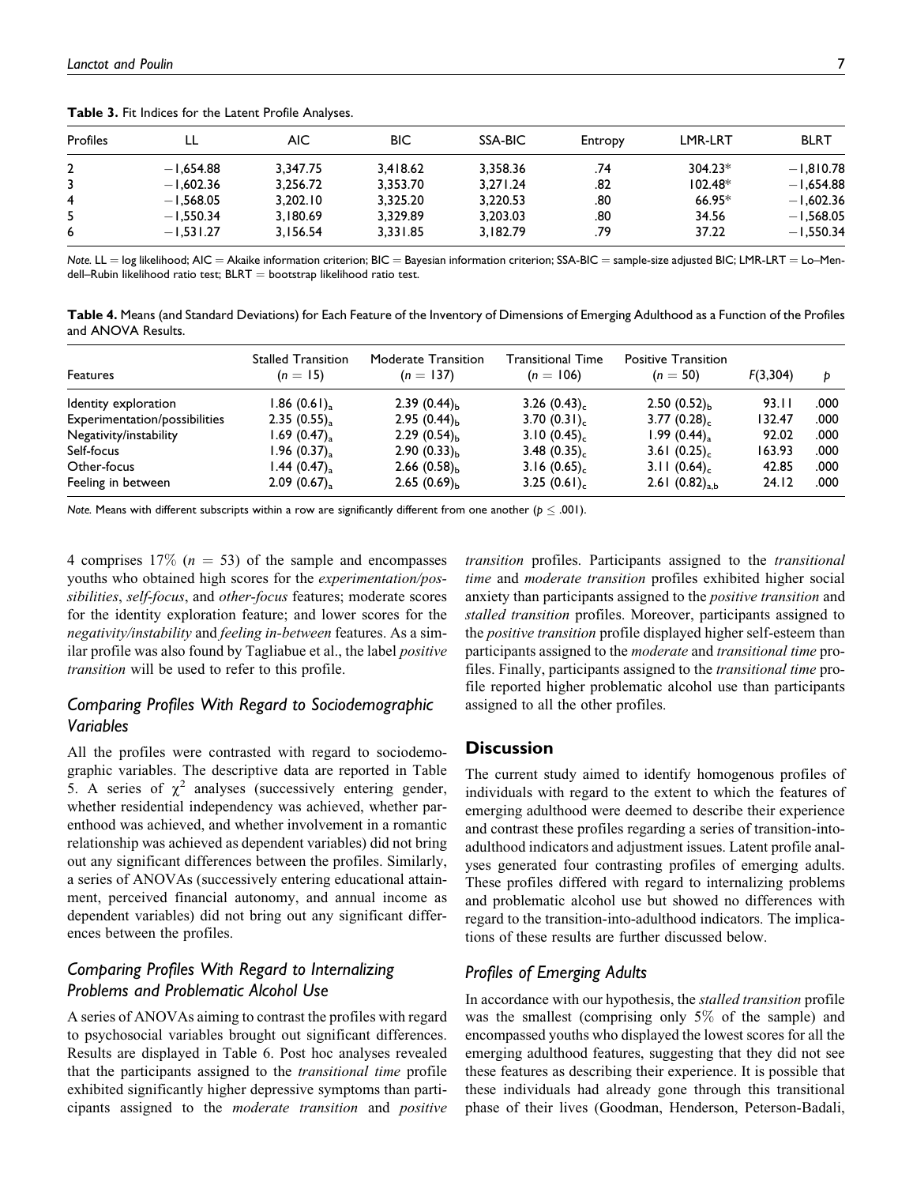| Profiles |             | AIC.     | BIC      | SSA-BIC  | Entropy | <b>LMR-LRT</b> | <b>BLRT</b> |
|----------|-------------|----------|----------|----------|---------|----------------|-------------|
|          | $-1.654.88$ | 3.347.75 | 3.418.62 | 3.358.36 | .74     | $304.23*$      | $-1.810.78$ |
|          | $-1,602.36$ | 3.256.72 | 3.353.70 | 3.271.24 | .82     | $102.48*$      | $-1.654.88$ |
| 4        | $-1.568.05$ | 3.202.10 | 3.325.20 | 3.220.53 | .80     | 66.95*         | $-1.602.36$ |
|          | $-1.550.34$ | 3.180.69 | 3.329.89 | 3.203.03 | .80     | 34.56          | $-1.568.05$ |
| 6        | $-1.531.27$ | 3.156.54 | 3.331.85 | 3.182.79 | .79     | 37.22          | $-1.550.34$ |

Table 3. Fit Indices for the Latent Profile Analyses.

Note. LL = log likelihood; AIC = Akaike information criterion; BIC = Bayesian information criterion; SSA-BIC = sample-size adjusted BIC; LMR-LRT = Lo–Mendell-Rubin likelihood ratio test;  $BLRT =$  bootstrap likelihood ratio test.

Table 4. Means (and Standard Deviations) for Each Feature of the Inventory of Dimensions of Emerging Adulthood as a Function of the Profiles and ANOVA Results.

| <b>Features</b>               | <b>Stalled Transition</b><br>$(n = 15)$ | Moderate Transition<br>$(n = 137)$ | Transitional Time<br>$(n = 106)$ | <b>Positive Transition</b><br>$(n = 50)$ | F(3,304) | Ð    |
|-------------------------------|-----------------------------------------|------------------------------------|----------------------------------|------------------------------------------|----------|------|
| Identity exploration          | $1.86(0.61)_{\rm a}$                    | 2.39 $(0.44)_{h}$                  | 3.26(0.43)                       | $2.50(0.52)_{h}$                         | 93.II    | .000 |
| Experimentation/possibilities | 2.35(0.55)                              | $2.95(0.44)_{h}$                   | 3.70(0.31)                       | 3.77(0.28)                               | 132.47   | .000 |
| Negativity/instability        | 1.69(0.47)                              | $2.29(0.54)_{h}$                   | 3.10(0.45)                       | 1.99(0.44)                               | 92.02    | .000 |
| Self-focus                    | 1.96(0.37)                              | 2.90 $(0.33)_{h}$                  | 3.48(0.35)                       | 3.61(0.25)                               | 163.93   | .000 |
| Other-focus                   | 1.44(0.47)                              | 2.66 $(0.58)_{h}$                  | 3.16(0.65)                       | 3.11(0.64)                               | 42.85    | .000 |
| Feeling in between            | 2.09(0.67)                              | 2.65 $(0.69)_{h}$                  | 3.25(0.61)                       | 2.61 $(0.82)_{a,b}$                      | 24.12    | .000 |

Note. Means with different subscripts within a row are significantly different from one another ( $p \le .001$ ).

4 comprises 17% ( $n = 53$ ) of the sample and encompasses youths who obtained high scores for the experimentation/possibilities, self-focus, and other-focus features; moderate scores for the identity exploration feature; and lower scores for the negativity/instability and feeling in-between features. As a similar profile was also found by Tagliabue et al., the label positive transition will be used to refer to this profile.

# Comparing Profiles With Regard to Sociodemographic Variables

All the profiles were contrasted with regard to sociodemographic variables. The descriptive data are reported in Table 5. A series of  $\chi^2$  analyses (successively entering gender, whether residential independency was achieved, whether parenthood was achieved, and whether involvement in a romantic relationship was achieved as dependent variables) did not bring out any significant differences between the profiles. Similarly, a series of ANOVAs (successively entering educational attainment, perceived financial autonomy, and annual income as dependent variables) did not bring out any significant differences between the profiles.

# Comparing Profiles With Regard to Internalizing Problems and Problematic Alcohol Use

A series of ANOVAs aiming to contrast the profiles with regard to psychosocial variables brought out significant differences. Results are displayed in Table 6. Post hoc analyses revealed that the participants assigned to the transitional time profile exhibited significantly higher depressive symptoms than participants assigned to the moderate transition and positive

transition profiles. Participants assigned to the transitional time and moderate transition profiles exhibited higher social anxiety than participants assigned to the positive transition and stalled transition profiles. Moreover, participants assigned to the *positive transition* profile displayed higher self-esteem than participants assigned to the moderate and transitional time profiles. Finally, participants assigned to the transitional time profile reported higher problematic alcohol use than participants assigned to all the other profiles.

## **Discussion**

The current study aimed to identify homogenous profiles of individuals with regard to the extent to which the features of emerging adulthood were deemed to describe their experience and contrast these profiles regarding a series of transition-intoadulthood indicators and adjustment issues. Latent profile analyses generated four contrasting profiles of emerging adults. These profiles differed with regard to internalizing problems and problematic alcohol use but showed no differences with regard to the transition-into-adulthood indicators. The implications of these results are further discussed below.

# Profiles of Emerging Adults

In accordance with our hypothesis, the stalled transition profile was the smallest (comprising only 5% of the sample) and encompassed youths who displayed the lowest scores for all the emerging adulthood features, suggesting that they did not see these features as describing their experience. It is possible that these individuals had already gone through this transitional phase of their lives (Goodman, Henderson, Peterson-Badali,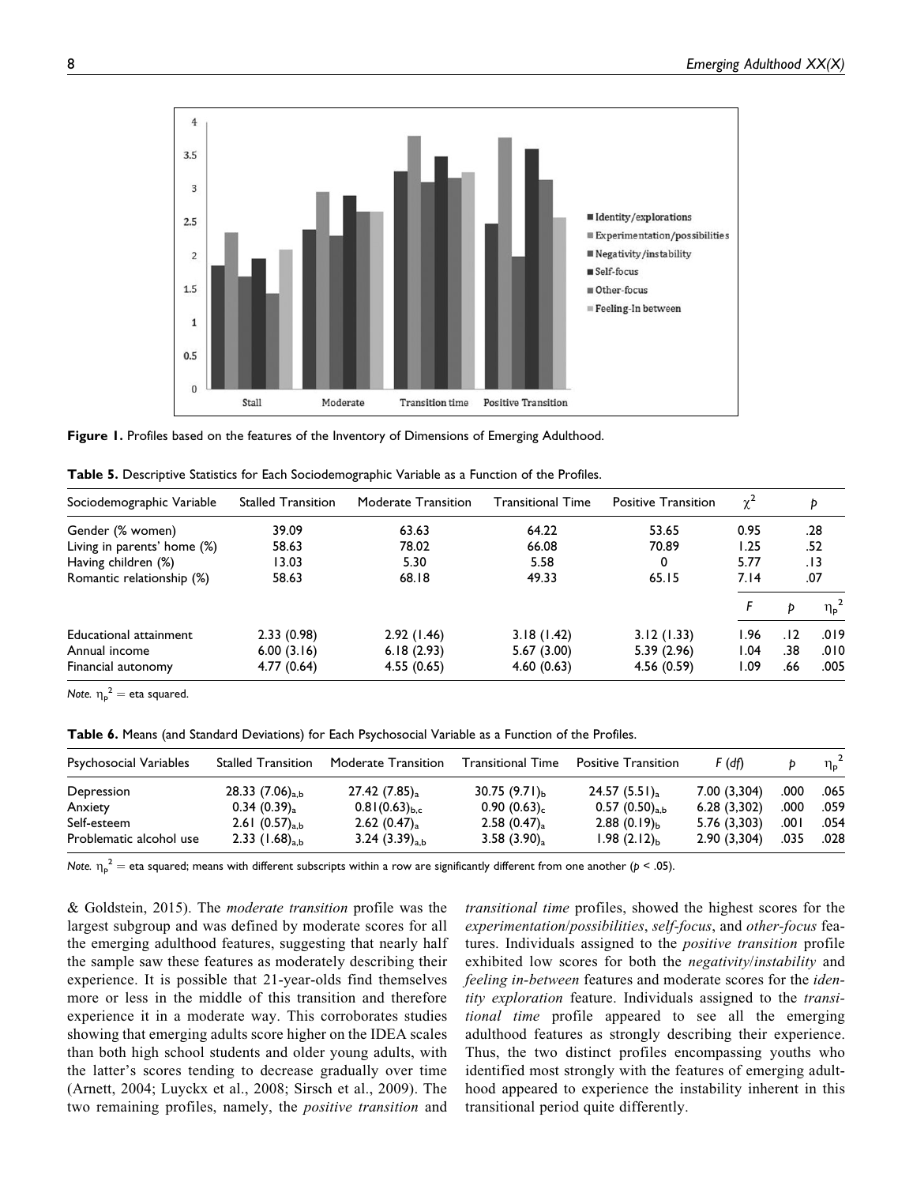

Figure 1. Profiles based on the features of the Inventory of Dimensions of Emerging Adulthood.

|  |  | Table 5. Descriptive Statistics for Each Sociodemographic Variable as a Function of the Profiles. |  |  |
|--|--|---------------------------------------------------------------------------------------------------|--|--|
|--|--|---------------------------------------------------------------------------------------------------|--|--|

| <b>Stalled Transition</b> | Moderate Transition | <b>Transitional Time</b> | <b>Positive Transition</b> | $\chi^2$ |     | Þ              |
|---------------------------|---------------------|--------------------------|----------------------------|----------|-----|----------------|
| 39.09                     | 63.63               | 64.22                    | 53.65                      | 0.95     |     | .28            |
| 58.63                     | 78.02               | 66.08                    | 70.89                      | 1.25     |     | .52            |
| 13.03                     | 5.30                | 5.58                     | 0                          | 5.77     |     | .13            |
| 58.63                     | 68.18               | 49.33                    | 65.15                      | 7.14     |     | .07            |
|                           |                     |                          |                            |          | D   | $\eta_{\rm p}$ |
| 2.33(0.98)                | 2.92(1.46)          | 3.18(1.42)               | 3.12(1.33)                 | 1.96     | .12 | .019           |
| 6.00(3.16)                | 6.18(2.93)          | 5.67(3.00)               | 5.39(2.96)                 | 1.04     | .38 | .010           |
| 4.77 (0.64)               | 4.55(0.65)          | 4.60(0.63)               | 4.56(0.59)                 | 1.09     | .66 | .005           |
|                           |                     |                          |                            |          |     |                |

Note.  $\eta_{\text{p}}^2$  = eta squared.

Table 6. Means (and Standard Deviations) for Each Psychosocial Variable as a Function of the Profiles.

| Psychosocial Variables  | <b>Stalled Transition</b> | Moderate Transition  | Transitional Time     | Positive Transition         | F (df)       |      | $\eta_{\rm p}$ |
|-------------------------|---------------------------|----------------------|-----------------------|-----------------------------|--------------|------|----------------|
| Depression              | 28.33 $(7.06)_{a,b}$      | 27.42(7.85)          | 30.75 $(9.71)_{h}$    | 24.57 $(5.51)$ <sub>3</sub> | 7.00 (3,304) | .000 | .065           |
| Anxiety                 | 0.34(0.39)                | $0.81(0.63)_{h.c.}$  | 0.90(0.63)            | 0.57 $(0.50)_{a,b}$         | 6.28(3,302)  | .000 | .059           |
| Self-esteem             | 2.61 $(0.57)_{a,b}$       | $2.62(0.47)_{\rm a}$ | $2.58(0.47)_{\rm a}$  | 2.88 $(0.19)_{h}$           | 5.76 (3,303) | 00۱. | .054           |
| Problematic alcohol use | 2.33 $(1.68)_{a,b}$       | 3.24 $(3.39)_{a,b}$  | 3.58 $(3.90)_{\rm a}$ | $1.98(2.12)_{b}$            | 2.90(3,304)  | .035 | .028           |

Note.  $\eta_p^{\;\;2}=$  eta squared; means with different subscripts within a row are significantly different from one another (p < .05).

& Goldstein, 2015). The moderate transition profile was the largest subgroup and was defined by moderate scores for all the emerging adulthood features, suggesting that nearly half the sample saw these features as moderately describing their experience. It is possible that 21-year-olds find themselves more or less in the middle of this transition and therefore experience it in a moderate way. This corroborates studies showing that emerging adults score higher on the IDEA scales than both high school students and older young adults, with the latter's scores tending to decrease gradually over time (Arnett, 2004; Luyckx et al., 2008; Sirsch et al., 2009). The two remaining profiles, namely, the *positive transition* and

transitional time profiles, showed the highest scores for the experimentation/possibilities, self-focus, and other-focus features. Individuals assigned to the *positive transition* profile exhibited low scores for both the *negativity/instability* and feeling in-between features and moderate scores for the identity exploration feature. Individuals assigned to the *transi*tional time profile appeared to see all the emerging adulthood features as strongly describing their experience. Thus, the two distinct profiles encompassing youths who identified most strongly with the features of emerging adulthood appeared to experience the instability inherent in this transitional period quite differently.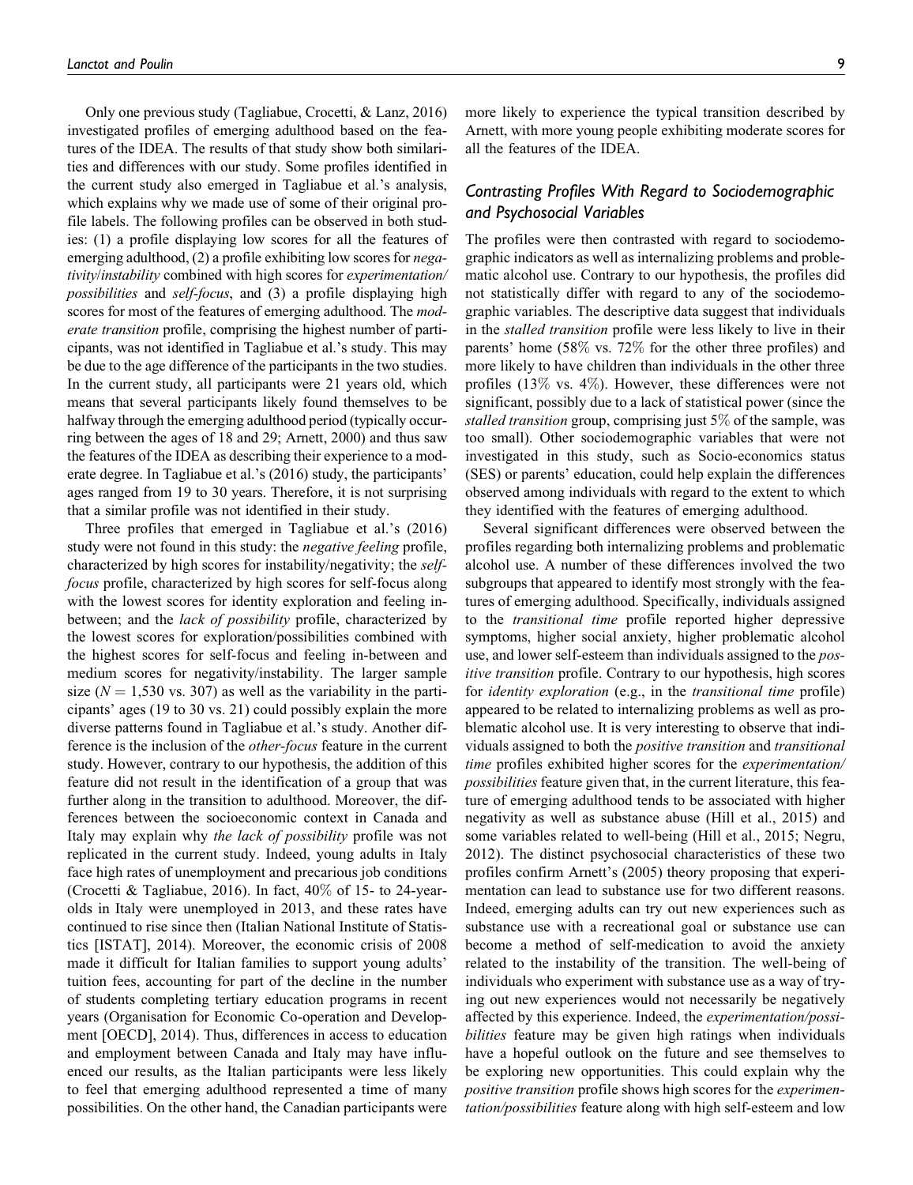Only one previous study (Tagliabue, Crocetti, & Lanz, 2016) investigated profiles of emerging adulthood based on the features of the IDEA. The results of that study show both similarities and differences with our study. Some profiles identified in the current study also emerged in Tagliabue et al.'s analysis, which explains why we made use of some of their original profile labels. The following profiles can be observed in both studies: (1) a profile displaying low scores for all the features of emerging adulthood, (2) a profile exhibiting low scores for negativity/instability combined with high scores for experimentation/ possibilities and self-focus, and (3) a profile displaying high scores for most of the features of emerging adulthood. The moderate transition profile, comprising the highest number of participants, was not identified in Tagliabue et al.'s study. This may be due to the age difference of the participants in the two studies. In the current study, all participants were 21 years old, which means that several participants likely found themselves to be halfway through the emerging adulthood period (typically occurring between the ages of 18 and 29; Arnett, 2000) and thus saw the features of the IDEA as describing their experience to a moderate degree. In Tagliabue et al.'s (2016) study, the participants' ages ranged from 19 to 30 years. Therefore, it is not surprising that a similar profile was not identified in their study.

Three profiles that emerged in Tagliabue et al.'s (2016) study were not found in this study: the *negative feeling* profile, characterized by high scores for instability/negativity; the selffocus profile, characterized by high scores for self-focus along with the lowest scores for identity exploration and feeling inbetween; and the *lack of possibility* profile, characterized by the lowest scores for exploration/possibilities combined with the highest scores for self-focus and feeling in-between and medium scores for negativity/instability. The larger sample size ( $N = 1,530$  vs. 307) as well as the variability in the participants' ages (19 to 30 vs. 21) could possibly explain the more diverse patterns found in Tagliabue et al.'s study. Another difference is the inclusion of the other-focus feature in the current study. However, contrary to our hypothesis, the addition of this feature did not result in the identification of a group that was further along in the transition to adulthood. Moreover, the differences between the socioeconomic context in Canada and Italy may explain why *the lack of possibility* profile was not replicated in the current study. Indeed, young adults in Italy face high rates of unemployment and precarious job conditions (Crocetti & Tagliabue, 2016). In fact, 40% of 15- to 24-yearolds in Italy were unemployed in 2013, and these rates have continued to rise since then (Italian National Institute of Statistics [ISTAT], 2014). Moreover, the economic crisis of 2008 made it difficult for Italian families to support young adults' tuition fees, accounting for part of the decline in the number of students completing tertiary education programs in recent years (Organisation for Economic Co-operation and Development [OECD], 2014). Thus, differences in access to education and employment between Canada and Italy may have influenced our results, as the Italian participants were less likely to feel that emerging adulthood represented a time of many possibilities. On the other hand, the Canadian participants were

more likely to experience the typical transition described by Arnett, with more young people exhibiting moderate scores for all the features of the IDEA.

# Contrasting Profiles With Regard to Sociodemographic and Psychosocial Variables

The profiles were then contrasted with regard to sociodemographic indicators as well as internalizing problems and problematic alcohol use. Contrary to our hypothesis, the profiles did not statistically differ with regard to any of the sociodemographic variables. The descriptive data suggest that individuals in the stalled transition profile were less likely to live in their parents' home (58% vs. 72% for the other three profiles) and more likely to have children than individuals in the other three profiles (13% vs. 4%). However, these differences were not significant, possibly due to a lack of statistical power (since the stalled transition group, comprising just 5\% of the sample, was too small). Other sociodemographic variables that were not investigated in this study, such as Socio-economics status (SES) or parents' education, could help explain the differences observed among individuals with regard to the extent to which they identified with the features of emerging adulthood.

Several significant differences were observed between the profiles regarding both internalizing problems and problematic alcohol use. A number of these differences involved the two subgroups that appeared to identify most strongly with the features of emerging adulthood. Specifically, individuals assigned to the transitional time profile reported higher depressive symptoms, higher social anxiety, higher problematic alcohol use, and lower self-esteem than individuals assigned to the positive transition profile. Contrary to our hypothesis, high scores for identity exploration (e.g., in the transitional time profile) appeared to be related to internalizing problems as well as problematic alcohol use. It is very interesting to observe that individuals assigned to both the positive transition and transitional time profiles exhibited higher scores for the experimentation/ possibilities feature given that, in the current literature, this feature of emerging adulthood tends to be associated with higher negativity as well as substance abuse (Hill et al., 2015) and some variables related to well-being (Hill et al., 2015; Negru, 2012). The distinct psychosocial characteristics of these two profiles confirm Arnett's (2005) theory proposing that experimentation can lead to substance use for two different reasons. Indeed, emerging adults can try out new experiences such as substance use with a recreational goal or substance use can become a method of self-medication to avoid the anxiety related to the instability of the transition. The well-being of individuals who experiment with substance use as a way of trying out new experiences would not necessarily be negatively affected by this experience. Indeed, the experimentation/possibilities feature may be given high ratings when individuals have a hopeful outlook on the future and see themselves to be exploring new opportunities. This could explain why the positive transition profile shows high scores for the experimentation/possibilities feature along with high self-esteem and low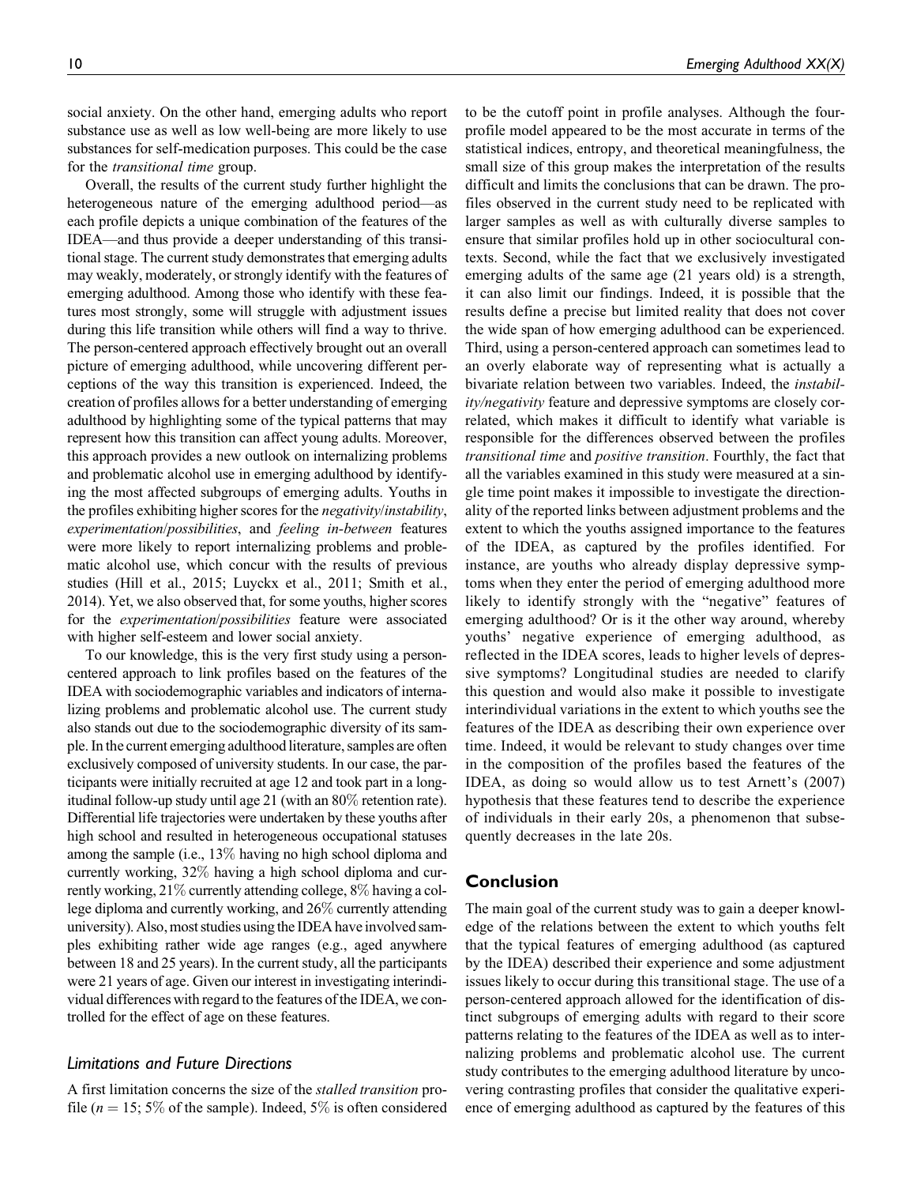social anxiety. On the other hand, emerging adults who report substance use as well as low well-being are more likely to use substances for self-medication purposes. This could be the case for the transitional time group.

Overall, the results of the current study further highlight the heterogeneous nature of the emerging adulthood period—as each profile depicts a unique combination of the features of the IDEA—and thus provide a deeper understanding of this transitional stage. The current study demonstrates that emerging adults may weakly, moderately, or strongly identify with the features of emerging adulthood. Among those who identify with these features most strongly, some will struggle with adjustment issues during this life transition while others will find a way to thrive. The person-centered approach effectively brought out an overall picture of emerging adulthood, while uncovering different perceptions of the way this transition is experienced. Indeed, the creation of profiles allows for a better understanding of emerging adulthood by highlighting some of the typical patterns that may represent how this transition can affect young adults. Moreover, this approach provides a new outlook on internalizing problems and problematic alcohol use in emerging adulthood by identifying the most affected subgroups of emerging adults. Youths in the profiles exhibiting higher scores for the negativity/instability, experimentation/possibilities, and feeling in-between features were more likely to report internalizing problems and problematic alcohol use, which concur with the results of previous studies (Hill et al., 2015; Luyckx et al., 2011; Smith et al., 2014). Yet, we also observed that, for some youths, higher scores for the experimentation/possibilities feature were associated with higher self-esteem and lower social anxiety.

To our knowledge, this is the very first study using a personcentered approach to link profiles based on the features of the IDEA with sociodemographic variables and indicators of internalizing problems and problematic alcohol use. The current study also stands out due to the sociodemographic diversity of its sample. In the current emerging adulthood literature, samples are often exclusively composed of university students. In our case, the participants were initially recruited at age 12 and took part in a longitudinal follow-up study until age 21 (with an 80% retention rate). Differential life trajectories were undertaken by these youths after high school and resulted in heterogeneous occupational statuses among the sample (i.e., 13% having no high school diploma and currently working, 32% having a high school diploma and currently working, 21% currently attending college, 8% having a college diploma and currently working, and 26% currently attending university). Also, most studies using the IDEA have involved samples exhibiting rather wide age ranges (e.g., aged anywhere between 18 and 25 years). In the current study, all the participants were 21 years of age. Given our interest in investigating interindividual differences with regard to the features of the IDEA, we controlled for the effect of age on these features.

## Limitations and Future Directions

A first limitation concerns the size of the stalled transition profile ( $n = 15$ ; 5% of the sample). Indeed, 5% is often considered

to be the cutoff point in profile analyses. Although the fourprofile model appeared to be the most accurate in terms of the statistical indices, entropy, and theoretical meaningfulness, the small size of this group makes the interpretation of the results difficult and limits the conclusions that can be drawn. The profiles observed in the current study need to be replicated with larger samples as well as with culturally diverse samples to ensure that similar profiles hold up in other sociocultural contexts. Second, while the fact that we exclusively investigated emerging adults of the same age (21 years old) is a strength, it can also limit our findings. Indeed, it is possible that the results define a precise but limited reality that does not cover the wide span of how emerging adulthood can be experienced. Third, using a person-centered approach can sometimes lead to an overly elaborate way of representing what is actually a bivariate relation between two variables. Indeed, the instability/negativity feature and depressive symptoms are closely correlated, which makes it difficult to identify what variable is responsible for the differences observed between the profiles transitional time and positive transition. Fourthly, the fact that all the variables examined in this study were measured at a single time point makes it impossible to investigate the directionality of the reported links between adjustment problems and the extent to which the youths assigned importance to the features of the IDEA, as captured by the profiles identified. For instance, are youths who already display depressive symptoms when they enter the period of emerging adulthood more likely to identify strongly with the "negative" features of emerging adulthood? Or is it the other way around, whereby youths' negative experience of emerging adulthood, as reflected in the IDEA scores, leads to higher levels of depressive symptoms? Longitudinal studies are needed to clarify this question and would also make it possible to investigate interindividual variations in the extent to which youths see the features of the IDEA as describing their own experience over time. Indeed, it would be relevant to study changes over time in the composition of the profiles based the features of the IDEA, as doing so would allow us to test Arnett's (2007) hypothesis that these features tend to describe the experience of individuals in their early 20s, a phenomenon that subsequently decreases in the late 20s.

## Conclusion

The main goal of the current study was to gain a deeper knowledge of the relations between the extent to which youths felt that the typical features of emerging adulthood (as captured by the IDEA) described their experience and some adjustment issues likely to occur during this transitional stage. The use of a person-centered approach allowed for the identification of distinct subgroups of emerging adults with regard to their score patterns relating to the features of the IDEA as well as to internalizing problems and problematic alcohol use. The current study contributes to the emerging adulthood literature by uncovering contrasting profiles that consider the qualitative experience of emerging adulthood as captured by the features of this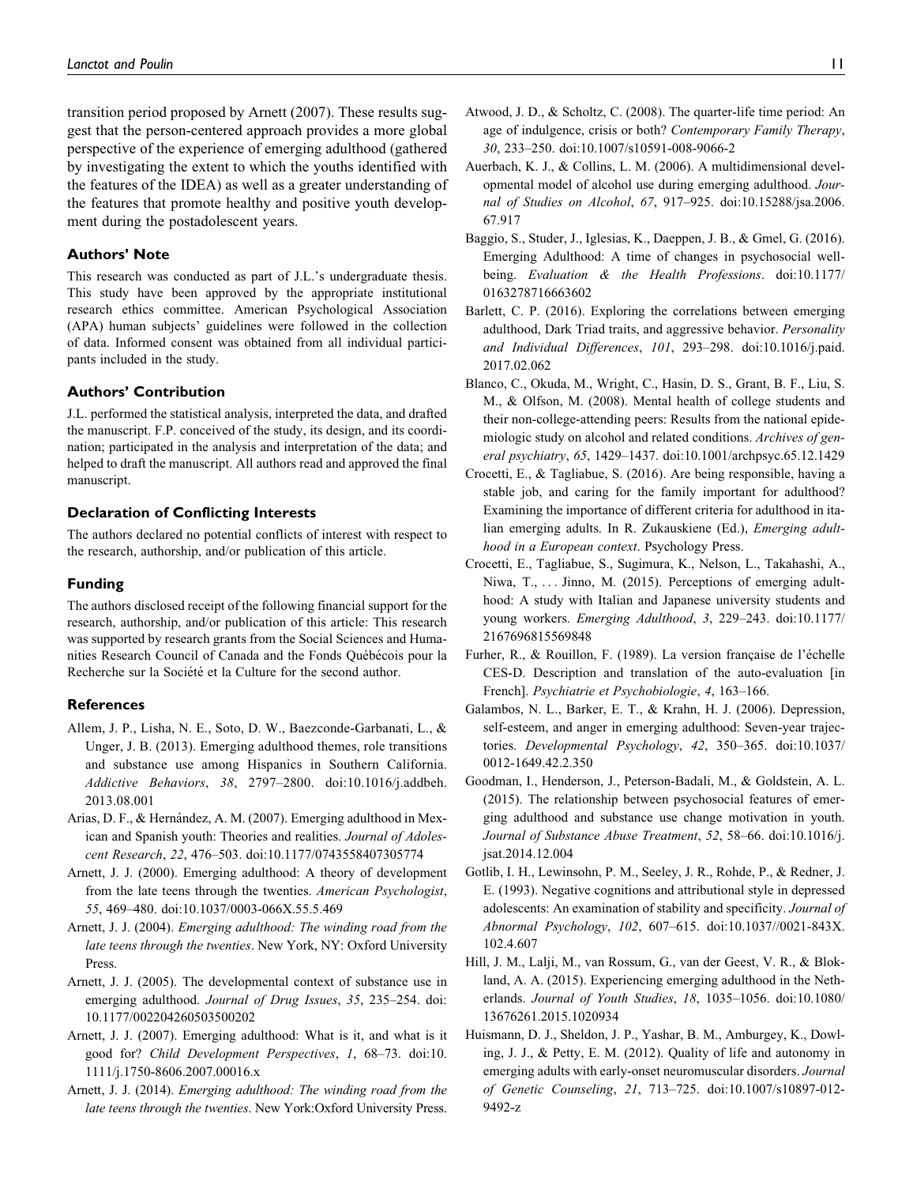transition period proposed by Arnett (2007). These results suggest that the person-centered approach provides a more global perspective of the experience of emerging adulthood (gathered by investigating the extent to which the youths identified with the features of the IDEA) as well as a greater understanding of the features that promote healthy and positive youth development during the postadolescent years.

#### Authors' Note

This research was conducted as part of J.L.'s undergraduate thesis. This study have been approved by the appropriate institutional research ethics committee. American Psychological Association (APA) human subjects' guidelines were followed in the collection of data. Informed consent was obtained from all individual participants included in the study.

#### Authors' Contribution

J.L. performed the statistical analysis, interpreted the data, and drafted the manuscript. F.P. conceived of the study, its design, and its coordination; participated in the analysis and interpretation of the data; and helped to draft the manuscript. All authors read and approved the final manuscript.

#### Declaration of Conflicting Interests

The authors declared no potential conflicts of interest with respect to the research, authorship, and/or publication of this article.

#### Funding

The authors disclosed receipt of the following financial support for the research, authorship, and/or publication of this article: This research was supported by research grants from the Social Sciences and Humanities Research Council of Canada and the Fonds Québécois pour la Recherche sur la Société et la Culture for the second author.

#### References

- Allem, J. P., Lisha, N. E., Soto, D. W., Baezconde-Garbanati, L., & Unger, J. B. (2013). Emerging adulthood themes, role transitions and substance use among Hispanics in Southern California. Addictive Behaviors, 38, 2797–2800. doi:10.1016/j.addbeh. 2013.08.001
- Arias, D. F., & Hernández, A. M. (2007). Emerging adulthood in Mexican and Spanish youth: Theories and realities. Journal of Adolescent Research, 22, 476–503. doi:10.1177/0743558407305774
- Arnett, J. J. (2000). Emerging adulthood: A theory of development from the late teens through the twenties. American Psychologist, 55, 469–480. doi:10.1037/0003-066X.55.5.469
- Arnett, J. J. (2004). Emerging adulthood: The winding road from the late teens through the twenties. New York, NY: Oxford University Press.
- Arnett, J. J. (2005). The developmental context of substance use in emerging adulthood. Journal of Drug Issues, 35, 235-254. doi: 10.1177/002204260503500202
- Arnett, J. J. (2007). Emerging adulthood: What is it, and what is it good for? Child Development Perspectives, 1, 68–73. doi:10. 1111/j.1750-8606.2007.00016.x
- Arnett, J. J. (2014). Emerging adulthood: The winding road from the late teens through the twenties. New York:Oxford University Press.
- Atwood, J. D., & Scholtz, C. (2008). The quarter-life time period: An age of indulgence, crisis or both? Contemporary Family Therapy, 30, 233–250. doi:10.1007/s10591-008-9066-2
- Auerbach, K. J., & Collins, L. M. (2006). A multidimensional developmental model of alcohol use during emerging adulthood. Journal of Studies on Alcohol, 67, 917–925. doi:10.15288/jsa.2006. 67.917
- Baggio, S., Studer, J., Iglesias, K., Daeppen, J. B., & Gmel, G. (2016). Emerging Adulthood: A time of changes in psychosocial wellbeing. Evaluation & the Health Professions. doi:10.1177/ 0163278716663602
- Barlett, C. P. (2016). Exploring the correlations between emerging adulthood, Dark Triad traits, and aggressive behavior. Personality and Individual Differences, 101, 293–298. doi:10.1016/j.paid. 2017.02.062
- Blanco, C., Okuda, M., Wright, C., Hasin, D. S., Grant, B. F., Liu, S. M., & Olfson, M. (2008). Mental health of college students and their non-college-attending peers: Results from the national epidemiologic study on alcohol and related conditions. Archives of general psychiatry, 65, 1429–1437. doi:10.1001/archpsyc.65.12.1429
- Crocetti, E., & Tagliabue, S. (2016). Are being responsible, having a stable job, and caring for the family important for adulthood? Examining the importance of different criteria for adulthood in italian emerging adults. In R. Zukauskiene (Ed.), *Emerging adult*hood in a European context. Psychology Press.
- Crocetti, E., Tagliabue, S., Sugimura, K., Nelson, L., Takahashi, A., Niwa, T., ... Jinno, M. (2015). Perceptions of emerging adulthood: A study with Italian and Japanese university students and young workers. Emerging Adulthood, 3, 229–243. doi:10.1177/ 2167696815569848
- Furher, R., & Rouillon, F. (1989). La version française de l'échelle CES-D. Description and translation of the auto-evaluation [in French]. Psychiatrie et Psychobiologie, 4, 163–166.
- Galambos, N. L., Barker, E. T., & Krahn, H. J. (2006). Depression, self-esteem, and anger in emerging adulthood: Seven-year trajectories. Developmental Psychology, 42, 350–365. doi:10.1037/ 0012-1649.42.2.350
- Goodman, I., Henderson, J., Peterson-Badali, M., & Goldstein, A. L. (2015). The relationship between psychosocial features of emerging adulthood and substance use change motivation in youth. Journal of Substance Abuse Treatment, 52, 58–66. doi:10.1016/j. jsat.2014.12.004
- Gotlib, I. H., Lewinsohn, P. M., Seeley, J. R., Rohde, P., & Redner, J. E. (1993). Negative cognitions and attributional style in depressed adolescents: An examination of stability and specificity. Journal of Abnormal Psychology, 102, 607–615. doi:10.1037//0021-843X. 102.4.607
- Hill, J. M., Lalji, M., van Rossum, G., van der Geest, V. R., & Blokland, A. A. (2015). Experiencing emerging adulthood in the Netherlands. Journal of Youth Studies, 18, 1035–1056. doi:10.1080/ 13676261.2015.1020934
- Huismann, D. J., Sheldon, J. P., Yashar, B. M., Amburgey, K., Dowling, J. J., & Petty, E. M. (2012). Quality of life and autonomy in emerging adults with early-onset neuromuscular disorders. Journal of Genetic Counseling, 21, 713–725. doi:10.1007/s10897-012- 9492-z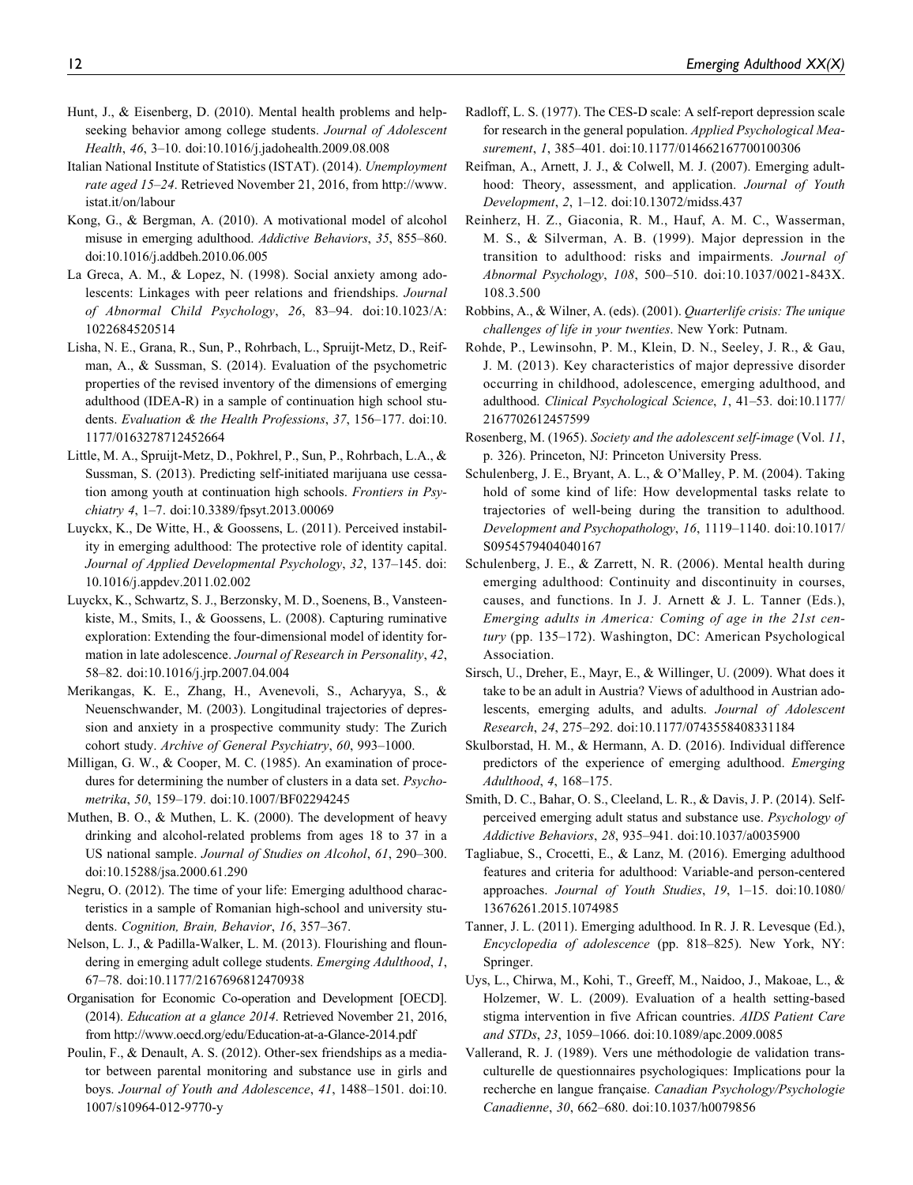- Hunt, J., & Eisenberg, D. (2010). Mental health problems and helpseeking behavior among college students. Journal of Adolescent Health, 46, 3–10. doi:10.1016/j.jadohealth.2009.08.008
- Italian National Institute of Statistics (ISTAT). (2014). Unemployment rate aged 15–24. Retrieved November 21, 2016, from [http://www.](http://www.istat.it/on/labour) [istat.it/on/labour](http://www.istat.it/on/labour)
- Kong, G., & Bergman, A. (2010). A motivational model of alcohol misuse in emerging adulthood. Addictive Behaviors, 35, 855–860. doi:10.1016/j.addbeh.2010.06.005
- La Greca, A. M., & Lopez, N. (1998). Social anxiety among adolescents: Linkages with peer relations and friendships. Journal of Abnormal Child Psychology, 26, 83–94. doi:10.1023/A: 1022684520514
- Lisha, N. E., Grana, R., Sun, P., Rohrbach, L., Spruijt-Metz, D., Reifman, A., & Sussman, S. (2014). Evaluation of the psychometric properties of the revised inventory of the dimensions of emerging adulthood (IDEA-R) in a sample of continuation high school students. Evaluation & the Health Professions, 37, 156–177. doi:10. 1177/0163278712452664
- Little, M. A., Spruijt-Metz, D., Pokhrel, P., Sun, P., Rohrbach, L.A., & Sussman, S. (2013). Predicting self-initiated marijuana use cessation among youth at continuation high schools. Frontiers in Psychiatry 4, 1–7. doi:10.3389/fpsyt.2013.00069
- Luyckx, K., De Witte, H., & Goossens, L. (2011). Perceived instability in emerging adulthood: The protective role of identity capital. Journal of Applied Developmental Psychology, 32, 137–145. doi: 10.1016/j.appdev.2011.02.002
- Luyckx, K., Schwartz, S. J., Berzonsky, M. D., Soenens, B., Vansteenkiste, M., Smits, I., & Goossens, L. (2008). Capturing ruminative exploration: Extending the four-dimensional model of identity formation in late adolescence. Journal of Research in Personality, 42, 58–82. doi:10.1016/j.jrp.2007.04.004
- Merikangas, K. E., Zhang, H., Avenevoli, S., Acharyya, S., & Neuenschwander, M. (2003). Longitudinal trajectories of depression and anxiety in a prospective community study: The Zurich cohort study. Archive of General Psychiatry, 60, 993–1000.
- Milligan, G. W., & Cooper, M. C. (1985). An examination of procedures for determining the number of clusters in a data set. Psychometrika, 50, 159–179. doi:10.1007/BF02294245
- Muthen, B. O., & Muthen, L. K. (2000). The development of heavy drinking and alcohol-related problems from ages 18 to 37 in a US national sample. Journal of Studies on Alcohol, 61, 290–300. doi:10.15288/jsa.2000.61.290
- Negru, O. (2012). The time of your life: Emerging adulthood characteristics in a sample of Romanian high-school and university students. Cognition, Brain, Behavior, 16, 357–367.
- Nelson, L. J., & Padilla-Walker, L. M. (2013). Flourishing and floundering in emerging adult college students. Emerging Adulthood, 1, 67–78. doi:10.1177/2167696812470938
- Organisation for Economic Co-operation and Development [OECD]. (2014). Education at a glance 2014. Retrieved November 21, 2016, from<http://www.oecd.org/edu/Education-at-a-Glance-2014.pdf>
- Poulin, F., & Denault, A. S. (2012). Other-sex friendships as a mediator between parental monitoring and substance use in girls and boys. Journal of Youth and Adolescence, 41, 1488–1501. doi:10. 1007/s10964-012-9770-y
- Radloff, L. S. (1977). The CES-D scale: A self-report depression scale for research in the general population. Applied Psychological Measurement, 1, 385–401. doi:10.1177/014662167700100306
- Reifman, A., Arnett, J. J., & Colwell, M. J. (2007). Emerging adulthood: Theory, assessment, and application. Journal of Youth Development, 2, 1–12. doi:10.13072/midss.437
- Reinherz, H. Z., Giaconia, R. M., Hauf, A. M. C., Wasserman, M. S., & Silverman, A. B. (1999). Major depression in the transition to adulthood: risks and impairments. Journal of Abnormal Psychology, 108, 500–510. doi:10.1037/0021-843X. 108.3.500
- Robbins, A., & Wilner, A. (eds). (2001). Quarterlife crisis: The unique challenges of life in your twenties. New York: Putnam.
- Rohde, P., Lewinsohn, P. M., Klein, D. N., Seeley, J. R., & Gau, J. M. (2013). Key characteristics of major depressive disorder occurring in childhood, adolescence, emerging adulthood, and adulthood. Clinical Psychological Science, 1, 41–53. doi:10.1177/ 2167702612457599
- Rosenberg, M. (1965). Society and the adolescent self-image (Vol. 11, p. 326). Princeton, NJ: Princeton University Press.
- Schulenberg, J. E., Bryant, A. L., & O'Malley, P. M. (2004). Taking hold of some kind of life: How developmental tasks relate to trajectories of well-being during the transition to adulthood. Development and Psychopathology, 16, 1119–1140. doi:10.1017/ S0954579404040167
- Schulenberg, J. E., & Zarrett, N. R. (2006). Mental health during emerging adulthood: Continuity and discontinuity in courses, causes, and functions. In J. J. Arnett & J. L. Tanner (Eds.), Emerging adults in America: Coming of age in the 21st century (pp. 135–172). Washington, DC: American Psychological Association.
- Sirsch, U., Dreher, E., Mayr, E., & Willinger, U. (2009). What does it take to be an adult in Austria? Views of adulthood in Austrian adolescents, emerging adults, and adults. Journal of Adolescent Research, 24, 275–292. doi:10.1177/0743558408331184
- Skulborstad, H. M., & Hermann, A. D. (2016). Individual difference predictors of the experience of emerging adulthood. Emerging Adulthood, 4, 168–175.
- Smith, D. C., Bahar, O. S., Cleeland, L. R., & Davis, J. P. (2014). Selfperceived emerging adult status and substance use. Psychology of Addictive Behaviors, 28, 935–941. doi:10.1037/a0035900
- Tagliabue, S., Crocetti, E., & Lanz, M. (2016). Emerging adulthood features and criteria for adulthood: Variable-and person-centered approaches. Journal of Youth Studies, 19, 1–15. doi:10.1080/ 13676261.2015.1074985
- Tanner, J. L. (2011). Emerging adulthood. In R. J. R. Levesque (Ed.), Encyclopedia of adolescence (pp. 818–825). New York, NY: Springer.
- Uys, L., Chirwa, M., Kohi, T., Greeff, M., Naidoo, J., Makoae, L., & Holzemer, W. L. (2009). Evaluation of a health setting-based stigma intervention in five African countries. AIDS Patient Care and STDs, 23, 1059–1066. doi:10.1089/apc.2009.0085
- Vallerand, R. J. (1989). Vers une méthodologie de validation transculturelle de questionnaires psychologiques: Implications pour la recherche en langue française. Canadian Psychology/Psychologie Canadienne, 30, 662–680. doi:10.1037/h0079856